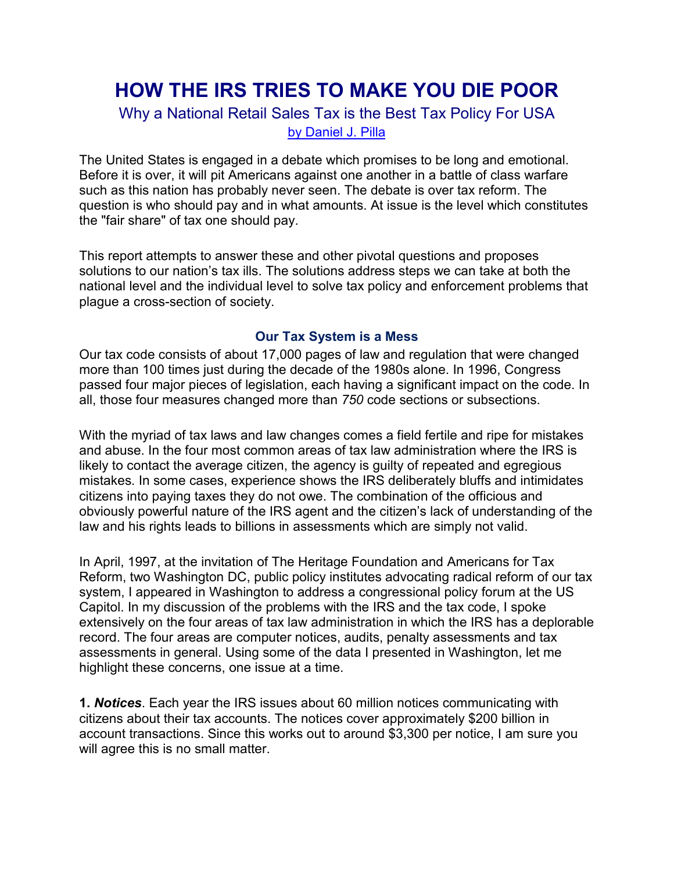# **HOW THE IRS TRIES TO MAKE YOU DIE POOR**

### Why a National Retail Sales Tax is the Best Tax Policy For USA

[by Daniel J. Pilla](http://taxhelponline.com/dan-pilla/who-is-dan-pilla.html)

The United States is engaged in a debate which promises to be long and emotional. Before it is over, it will pit Americans against one another in a battle of class warfare such as this nation has probably never seen. The debate is over tax reform. The question is who should pay and in what amounts. At issue is the level which constitutes the "fair share" of tax one should pay.

This report attempts to answer these and other pivotal questions and proposes solutions to our nation's tax ills. The solutions address steps we can take at both the national level and the individual level to solve tax policy and enforcement problems that plague a cross-section of society.

#### **Our Tax System is a Mess**

Our tax code consists of about 17,000 pages of law and regulation that were changed more than 100 times just during the decade of the 1980s alone. In 1996, Congress passed four major pieces of legislation, each having a significant impact on the code. In all, those four measures changed more than *750* code sections or subsections.

With the myriad of tax laws and law changes comes a field fertile and ripe for mistakes and abuse. In the four most common areas of tax law administration where the IRS is likely to contact the average citizen, the agency is guilty of repeated and egregious mistakes. In some cases, experience shows the IRS deliberately bluffs and intimidates citizens into paying taxes they do not owe. The combination of the officious and obviously powerful nature of the IRS agent and the citizen's lack of understanding of the law and his rights leads to billions in assessments which are simply not valid.

In April, 1997, at the invitation of The Heritage Foundation and Americans for Tax Reform, two Washington DC, public policy institutes advocating radical reform of our tax system, I appeared in Washington to address a congressional policy forum at the US Capitol. In my discussion of the problems with the IRS and the tax code, I spoke extensively on the four areas of tax law administration in which the IRS has a deplorable record. The four areas are computer notices, audits, penalty assessments and tax assessments in general. Using some of the data I presented in Washington, let me highlight these concerns, one issue at a time.

**1.** *Notices*. Each year the IRS issues about 60 million notices communicating with citizens about their tax accounts. The notices cover approximately \$200 billion in account transactions. Since this works out to around \$3,300 per notice, I am sure you will agree this is no small matter.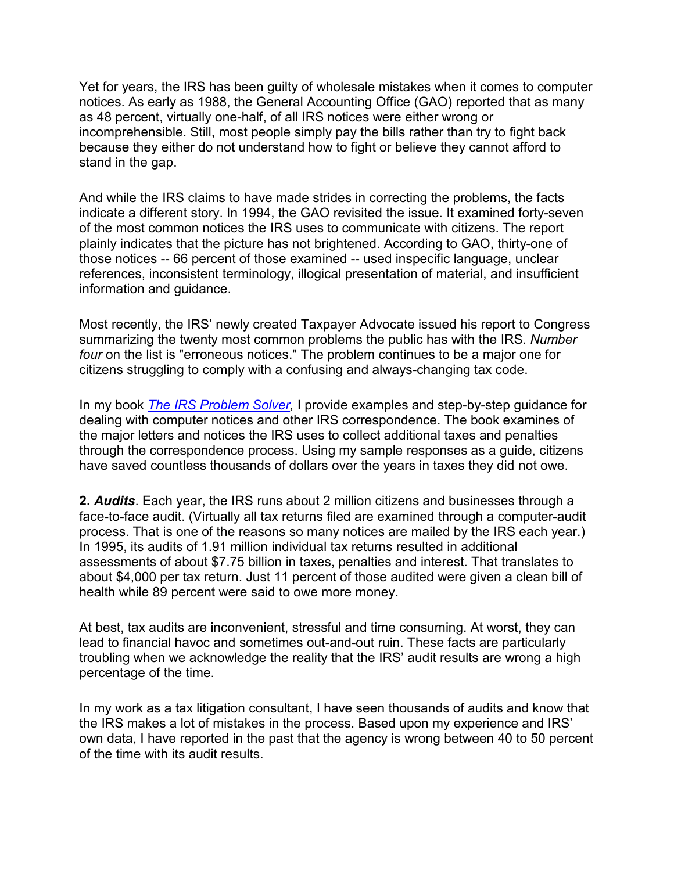Yet for years, the IRS has been guilty of wholesale mistakes when it comes to computer notices. As early as 1988, the General Accounting Office (GAO) reported that as many as 48 percent, virtually one-half, of all IRS notices were either wrong or incomprehensible. Still, most people simply pay the bills rather than try to fight back because they either do not understand how to fight or believe they cannot afford to stand in the gap.

And while the IRS claims to have made strides in correcting the problems, the facts indicate a different story. In 1994, the GAO revisited the issue. It examined forty-seven of the most common notices the IRS uses to communicate with citizens. The report plainly indicates that the picture has not brightened. According to GAO, thirty-one of those notices -- 66 percent of those examined -- used inspecific language, unclear references, inconsistent terminology, illogical presentation of material, and insufficient information and guidance.

Most recently, the IRS' newly created Taxpayer Advocate issued his report to Congress summarizing the twenty most common problems the public has with the IRS. *Number four* on the list is "erroneous notices." The problem continues to be a major one for citizens struggling to comply with a confusing and always-changing tax code.

In my book *[The IRS Problem Solver,](https://taxhelponline.com/product/the-irs-problem-solver/)* I provide examples and step-by-step guidance for dealing with computer notices and other IRS correspondence. The book examines of the major letters and notices the IRS uses to collect additional taxes and penalties through the correspondence process. Using my sample responses as a guide, citizens have saved countless thousands of dollars over the years in taxes they did not owe.

**2.** *Audits*. Each year, the IRS runs about 2 million citizens and businesses through a face-to-face audit. (Virtually all tax returns filed are examined through a computer-audit process. That is one of the reasons so many notices are mailed by the IRS each year.) In 1995, its audits of 1.91 million individual tax returns resulted in additional assessments of about \$7.75 billion in taxes, penalties and interest. That translates to about \$4,000 per tax return. Just 11 percent of those audited were given a clean bill of health while 89 percent were said to owe more money.

At best, tax audits are inconvenient, stressful and time consuming. At worst, they can lead to financial havoc and sometimes out-and-out ruin. These facts are particularly troubling when we acknowledge the reality that the IRS' audit results are wrong a high percentage of the time.

In my work as a tax litigation consultant, I have seen thousands of audits and know that the IRS makes a lot of mistakes in the process. Based upon my experience and IRS' own data, I have reported in the past that the agency is wrong between 40 to 50 percent of the time with its audit results.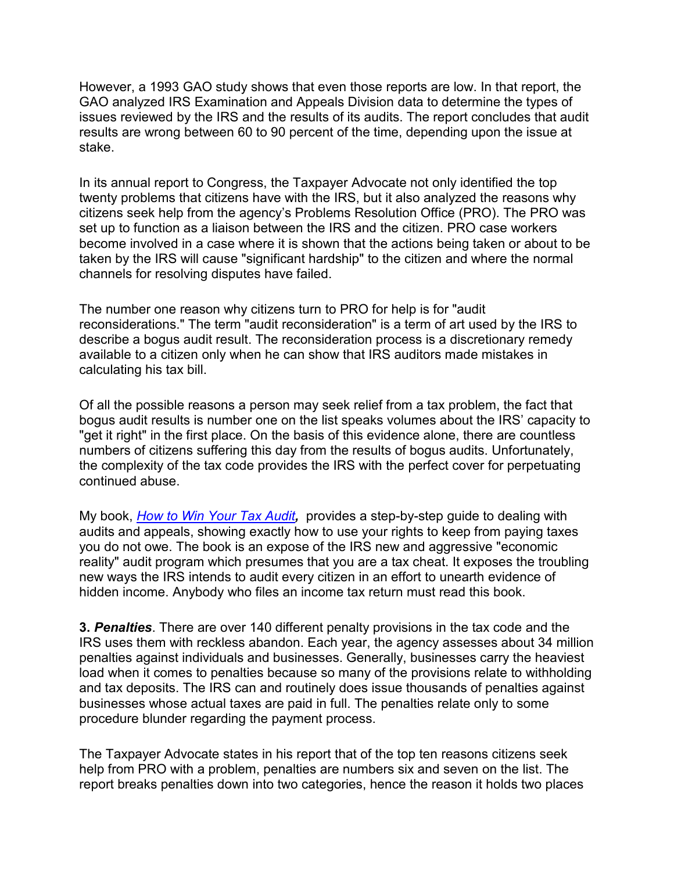However, a 1993 GAO study shows that even those reports are low. In that report, the GAO analyzed IRS Examination and Appeals Division data to determine the types of issues reviewed by the IRS and the results of its audits. The report concludes that audit results are wrong between 60 to 90 percent of the time, depending upon the issue at stake.

In its annual report to Congress, the Taxpayer Advocate not only identified the top twenty problems that citizens have with the IRS, but it also analyzed the reasons why citizens seek help from the agency's Problems Resolution Office (PRO). The PRO was set up to function as a liaison between the IRS and the citizen. PRO case workers become involved in a case where it is shown that the actions being taken or about to be taken by the IRS will cause "significant hardship" to the citizen and where the normal channels for resolving disputes have failed.

The number one reason why citizens turn to PRO for help is for "audit reconsiderations." The term "audit reconsideration" is a term of art used by the IRS to describe a bogus audit result. The reconsideration process is a discretionary remedy available to a citizen only when he can show that IRS auditors made mistakes in calculating his tax bill.

Of all the possible reasons a person may seek relief from a tax problem, the fact that bogus audit results is number one on the list speaks volumes about the IRS' capacity to "get it right" in the first place. On the basis of this evidence alone, there are countless numbers of citizens suffering this day from the results of bogus audits. Unfortunately, the complexity of the tax code provides the IRS with the perfect cover for perpetuating continued abuse.

My book, *[How to Win Your Tax Audit](https://taxhelponline.com/product/how-to-win-your-tax-audit/),* provides a step-by-step guide to dealing with audits and appeals, showing exactly how to use your rights to keep from paying taxes you do not owe. The book is an expose of the IRS new and aggressive "economic reality" audit program which presumes that you are a tax cheat. It exposes the troubling new ways the IRS intends to audit every citizen in an effort to unearth evidence of hidden income. Anybody who files an income tax return must read this book.

**3.** *Penalties*. There are over 140 different penalty provisions in the tax code and the IRS uses them with reckless abandon. Each year, the agency assesses about 34 million penalties against individuals and businesses. Generally, businesses carry the heaviest load when it comes to penalties because so many of the provisions relate to withholding and tax deposits. The IRS can and routinely does issue thousands of penalties against businesses whose actual taxes are paid in full. The penalties relate only to some procedure blunder regarding the payment process.

The Taxpayer Advocate states in his report that of the top ten reasons citizens seek help from PRO with a problem, penalties are numbers six and seven on the list. The report breaks penalties down into two categories, hence the reason it holds two places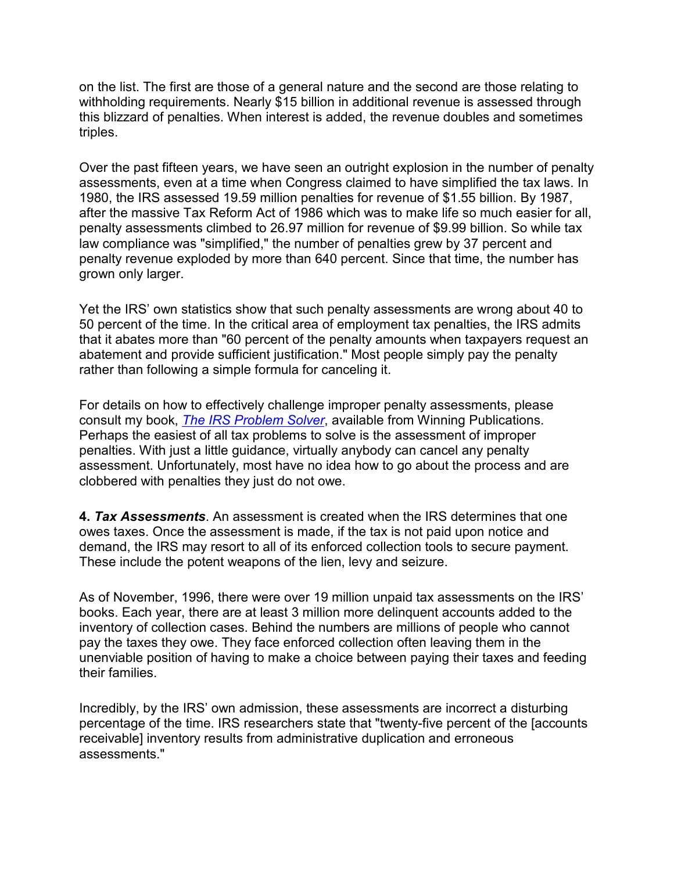on the list. The first are those of a general nature and the second are those relating to withholding requirements. Nearly \$15 billion in additional revenue is assessed through this blizzard of penalties. When interest is added, the revenue doubles and sometimes triples.

Over the past fifteen years, we have seen an outright explosion in the number of penalty assessments, even at a time when Congress claimed to have simplified the tax laws. In 1980, the IRS assessed 19.59 million penalties for revenue of \$1.55 billion. By 1987, after the massive Tax Reform Act of 1986 which was to make life so much easier for all, penalty assessments climbed to 26.97 million for revenue of \$9.99 billion. So while tax law compliance was "simplified," the number of penalties grew by 37 percent and penalty revenue exploded by more than 640 percent. Since that time, the number has grown only larger.

Yet the IRS' own statistics show that such penalty assessments are wrong about 40 to 50 percent of the time. In the critical area of employment tax penalties, the IRS admits that it abates more than "60 percent of the penalty amounts when taxpayers request an abatement and provide sufficient justification." Most people simply pay the penalty rather than following a simple formula for canceling it.

For details on how to effectively challenge improper penalty assessments, please consult my book, *[The IRS Problem Solver](https://taxhelponline.com/product/the-irs-problem-solver/)*, available from Winning Publications. Perhaps the easiest of all tax problems to solve is the assessment of improper penalties. With just a little guidance, virtually anybody can cancel any penalty assessment. Unfortunately, most have no idea how to go about the process and are clobbered with penalties they just do not owe.

**4.** *Tax Assessments*. An assessment is created when the IRS determines that one owes taxes. Once the assessment is made, if the tax is not paid upon notice and demand, the IRS may resort to all of its enforced collection tools to secure payment. These include the potent weapons of the lien, levy and seizure.

As of November, 1996, there were over 19 million unpaid tax assessments on the IRS' books. Each year, there are at least 3 million more delinquent accounts added to the inventory of collection cases. Behind the numbers are millions of people who cannot pay the taxes they owe. They face enforced collection often leaving them in the unenviable position of having to make a choice between paying their taxes and feeding their families.

Incredibly, by the IRS' own admission, these assessments are incorrect a disturbing percentage of the time. IRS researchers state that "twenty-five percent of the [accounts receivable] inventory results from administrative duplication and erroneous assessments."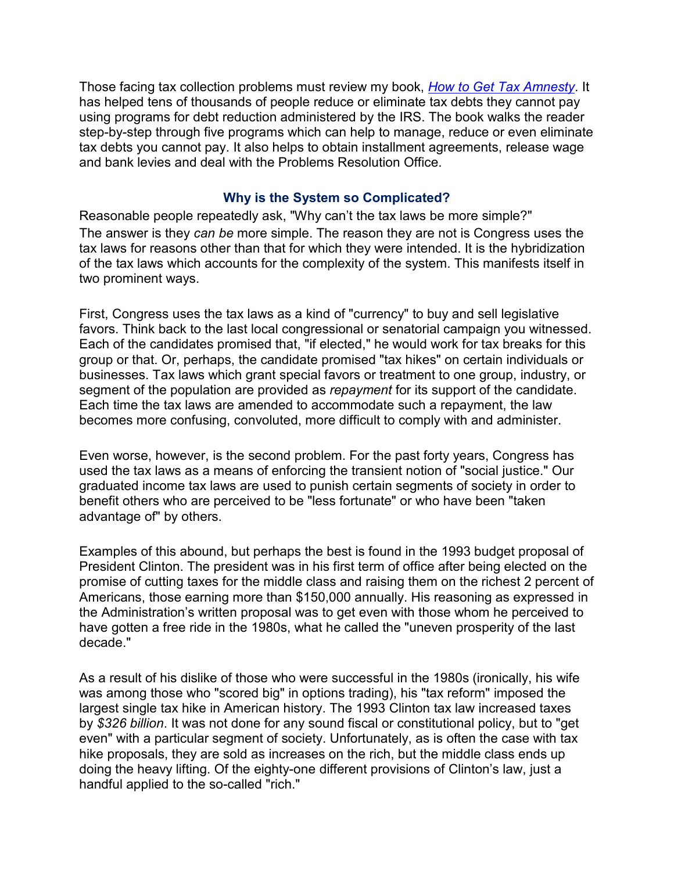Those facing tax collection problems must review my book, *[How to Get Tax Amnesty](https://taxhelponline.com/product/how-to-get-tax-amnesty/)*. It has helped tens of thousands of people reduce or eliminate tax debts they cannot pay using programs for debt reduction administered by the IRS. The book walks the reader step-by-step through five programs which can help to manage, reduce or even eliminate tax debts you cannot pay. It also helps to obtain installment agreements, release wage and bank levies and deal with the Problems Resolution Office.

#### **Why is the System so Complicated?**

Reasonable people repeatedly ask, "Why can't the tax laws be more simple?" The answer is they *can be* more simple. The reason they are not is Congress uses the tax laws for reasons other than that for which they were intended. It is the hybridization of the tax laws which accounts for the complexity of the system. This manifests itself in two prominent ways.

First, Congress uses the tax laws as a kind of "currency" to buy and sell legislative favors. Think back to the last local congressional or senatorial campaign you witnessed. Each of the candidates promised that, "if elected," he would work for tax breaks for this group or that. Or, perhaps, the candidate promised "tax hikes" on certain individuals or businesses. Tax laws which grant special favors or treatment to one group, industry, or segment of the population are provided as *repayment* for its support of the candidate. Each time the tax laws are amended to accommodate such a repayment, the law becomes more confusing, convoluted, more difficult to comply with and administer.

Even worse, however, is the second problem. For the past forty years, Congress has used the tax laws as a means of enforcing the transient notion of "social justice." Our graduated income tax laws are used to punish certain segments of society in order to benefit others who are perceived to be "less fortunate" or who have been "taken advantage of" by others.

Examples of this abound, but perhaps the best is found in the 1993 budget proposal of President Clinton. The president was in his first term of office after being elected on the promise of cutting taxes for the middle class and raising them on the richest 2 percent of Americans, those earning more than \$150,000 annually. His reasoning as expressed in the Administration's written proposal was to get even with those whom he perceived to have gotten a free ride in the 1980s, what he called the "uneven prosperity of the last decade."

As a result of his dislike of those who were successful in the 1980s (ironically, his wife was among those who "scored big" in options trading), his "tax reform" imposed the largest single tax hike in American history. The 1993 Clinton tax law increased taxes by *\$326 billion*. It was not done for any sound fiscal or constitutional policy, but to "get even" with a particular segment of society. Unfortunately, as is often the case with tax hike proposals, they are sold as increases on the rich, but the middle class ends up doing the heavy lifting. Of the eighty-one different provisions of Clinton's law, just a handful applied to the so-called "rich."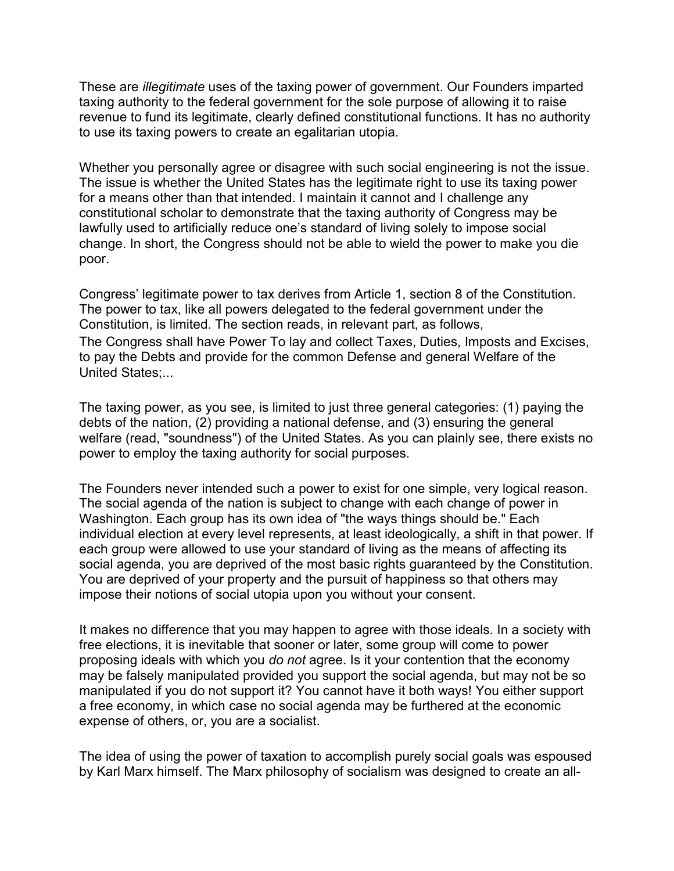These are *illegitimate* uses of the taxing power of government. Our Founders imparted taxing authority to the federal government for the sole purpose of allowing it to raise revenue to fund its legitimate, clearly defined constitutional functions. It has no authority to use its taxing powers to create an egalitarian utopia.

Whether you personally agree or disagree with such social engineering is not the issue. The issue is whether the United States has the legitimate right to use its taxing power for a means other than that intended. I maintain it cannot and I challenge any constitutional scholar to demonstrate that the taxing authority of Congress may be lawfully used to artificially reduce one's standard of living solely to impose social change. In short, the Congress should not be able to wield the power to make you die poor.

Congress' legitimate power to tax derives from Article 1, section 8 of the Constitution. The power to tax, like all powers delegated to the federal government under the Constitution, is limited. The section reads, in relevant part, as follows, The Congress shall have Power To lay and collect Taxes, Duties, Imposts and Excises, to pay the Debts and provide for the common Defense and general Welfare of the United States;...

The taxing power, as you see, is limited to just three general categories: (1) paying the debts of the nation, (2) providing a national defense, and (3) ensuring the general welfare (read, "soundness") of the United States. As you can plainly see, there exists no power to employ the taxing authority for social purposes.

The Founders never intended such a power to exist for one simple, very logical reason. The social agenda of the nation is subject to change with each change of power in Washington. Each group has its own idea of "the ways things should be." Each individual election at every level represents, at least ideologically, a shift in that power. If each group were allowed to use your standard of living as the means of affecting its social agenda, you are deprived of the most basic rights guaranteed by the Constitution. You are deprived of your property and the pursuit of happiness so that others may impose their notions of social utopia upon you without your consent.

It makes no difference that you may happen to agree with those ideals. In a society with free elections, it is inevitable that sooner or later, some group will come to power proposing ideals with which you *do not* agree. Is it your contention that the economy may be falsely manipulated provided you support the social agenda, but may not be so manipulated if you do not support it? You cannot have it both ways! You either support a free economy, in which case no social agenda may be furthered at the economic expense of others, or, you are a socialist.

The idea of using the power of taxation to accomplish purely social goals was espoused by Karl Marx himself. The Marx philosophy of socialism was designed to create an all-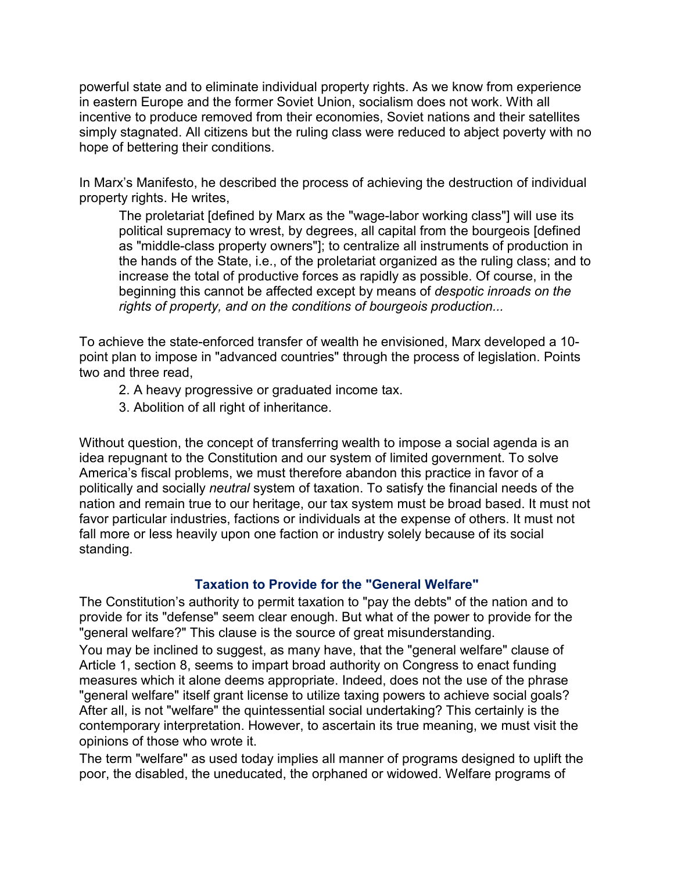powerful state and to eliminate individual property rights. As we know from experience in eastern Europe and the former Soviet Union, socialism does not work. With all incentive to produce removed from their economies, Soviet nations and their satellites simply stagnated. All citizens but the ruling class were reduced to abject poverty with no hope of bettering their conditions.

In Marx's Manifesto, he described the process of achieving the destruction of individual property rights. He writes,

The proletariat [defined by Marx as the "wage-labor working class"] will use its political supremacy to wrest, by degrees, all capital from the bourgeois [defined as "middle-class property owners"]; to centralize all instruments of production in the hands of the State, i.e., of the proletariat organized as the ruling class; and to increase the total of productive forces as rapidly as possible. Of course, in the beginning this cannot be affected except by means of *despotic inroads on the rights of property, and on the conditions of bourgeois production...*

To achieve the state-enforced transfer of wealth he envisioned, Marx developed a 10 point plan to impose in "advanced countries" through the process of legislation. Points two and three read,

- 2. A heavy progressive or graduated income tax.
- 3. Abolition of all right of inheritance.

Without question, the concept of transferring wealth to impose a social agenda is an idea repugnant to the Constitution and our system of limited government. To solve America's fiscal problems, we must therefore abandon this practice in favor of a politically and socially *neutral* system of taxation. To satisfy the financial needs of the nation and remain true to our heritage, our tax system must be broad based. It must not favor particular industries, factions or individuals at the expense of others. It must not fall more or less heavily upon one faction or industry solely because of its social standing.

#### **Taxation to Provide for the "General Welfare"**

The Constitution's authority to permit taxation to "pay the debts" of the nation and to provide for its "defense" seem clear enough. But what of the power to provide for the "general welfare?" This clause is the source of great misunderstanding.

You may be inclined to suggest, as many have, that the "general welfare" clause of Article 1, section 8, seems to impart broad authority on Congress to enact funding measures which it alone deems appropriate. Indeed, does not the use of the phrase "general welfare" itself grant license to utilize taxing powers to achieve social goals? After all, is not "welfare" the quintessential social undertaking? This certainly is the contemporary interpretation. However, to ascertain its true meaning, we must visit the opinions of those who wrote it.

The term "welfare" as used today implies all manner of programs designed to uplift the poor, the disabled, the uneducated, the orphaned or widowed. Welfare programs of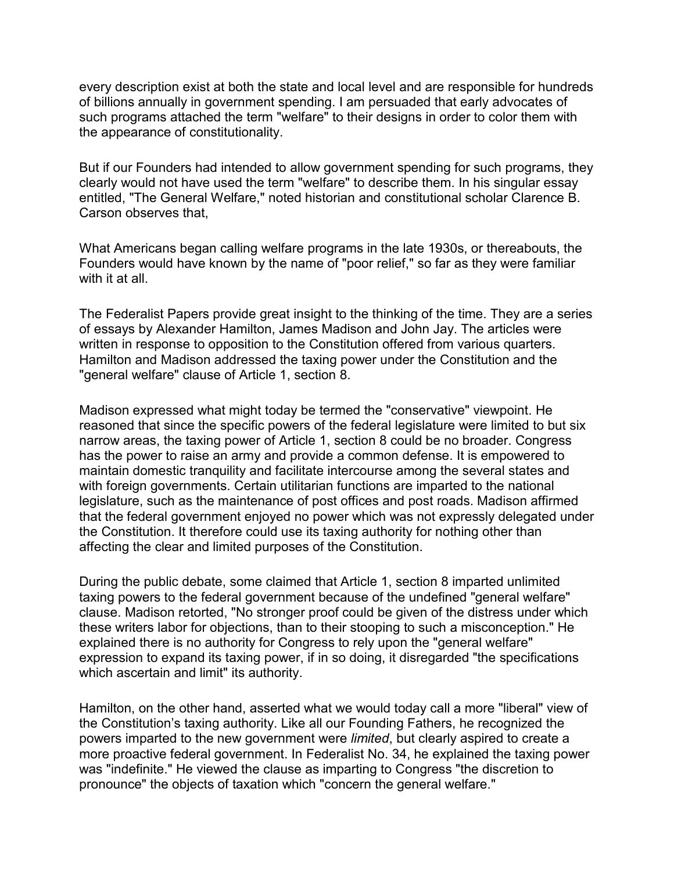every description exist at both the state and local level and are responsible for hundreds of billions annually in government spending. I am persuaded that early advocates of such programs attached the term "welfare" to their designs in order to color them with the appearance of constitutionality.

But if our Founders had intended to allow government spending for such programs, they clearly would not have used the term "welfare" to describe them. In his singular essay entitled, "The General Welfare," noted historian and constitutional scholar Clarence B. Carson observes that,

What Americans began calling welfare programs in the late 1930s, or thereabouts, the Founders would have known by the name of "poor relief," so far as they were familiar with it at all.

The Federalist Papers provide great insight to the thinking of the time. They are a series of essays by Alexander Hamilton, James Madison and John Jay. The articles were written in response to opposition to the Constitution offered from various quarters. Hamilton and Madison addressed the taxing power under the Constitution and the "general welfare" clause of Article 1, section 8.

Madison expressed what might today be termed the "conservative" viewpoint. He reasoned that since the specific powers of the federal legislature were limited to but six narrow areas, the taxing power of Article 1, section 8 could be no broader. Congress has the power to raise an army and provide a common defense. It is empowered to maintain domestic tranquility and facilitate intercourse among the several states and with foreign governments. Certain utilitarian functions are imparted to the national legislature, such as the maintenance of post offices and post roads. Madison affirmed that the federal government enjoyed no power which was not expressly delegated under the Constitution. It therefore could use its taxing authority for nothing other than affecting the clear and limited purposes of the Constitution.

During the public debate, some claimed that Article 1, section 8 imparted unlimited taxing powers to the federal government because of the undefined "general welfare" clause. Madison retorted, "No stronger proof could be given of the distress under which these writers labor for objections, than to their stooping to such a misconception." He explained there is no authority for Congress to rely upon the "general welfare" expression to expand its taxing power, if in so doing, it disregarded "the specifications which ascertain and limit" its authority.

Hamilton, on the other hand, asserted what we would today call a more "liberal" view of the Constitution's taxing authority. Like all our Founding Fathers, he recognized the powers imparted to the new government were *limited*, but clearly aspired to create a more proactive federal government. In Federalist No. 34, he explained the taxing power was "indefinite." He viewed the clause as imparting to Congress "the discretion to pronounce" the objects of taxation which "concern the general welfare."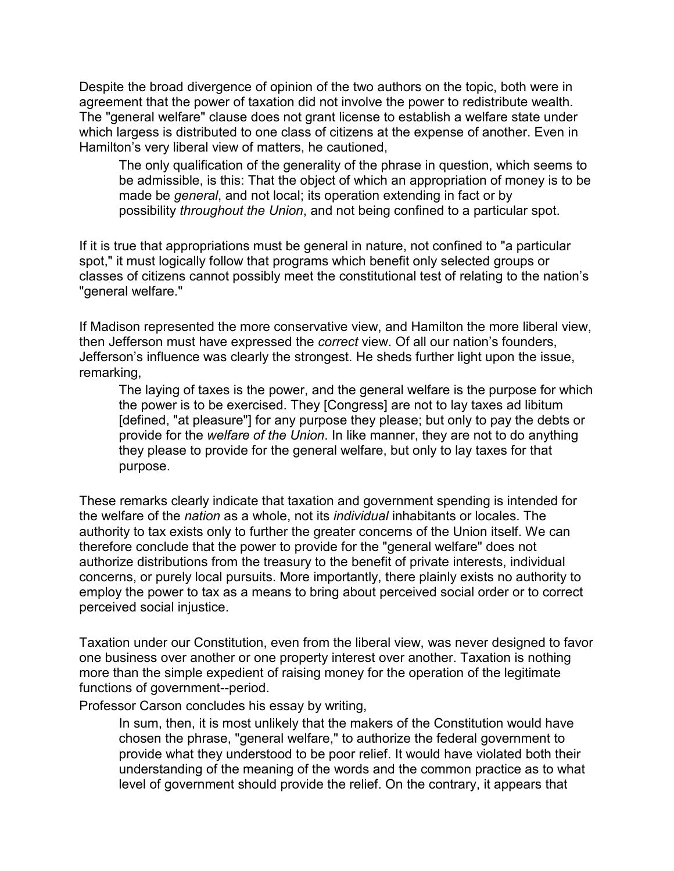Despite the broad divergence of opinion of the two authors on the topic, both were in agreement that the power of taxation did not involve the power to redistribute wealth. The "general welfare" clause does not grant license to establish a welfare state under which largess is distributed to one class of citizens at the expense of another. Even in Hamilton's very liberal view of matters, he cautioned,

The only qualification of the generality of the phrase in question, which seems to be admissible, is this: That the object of which an appropriation of money is to be made be *general*, and not local; its operation extending in fact or by possibility *throughout the Union*, and not being confined to a particular spot.

If it is true that appropriations must be general in nature, not confined to "a particular spot," it must logically follow that programs which benefit only selected groups or classes of citizens cannot possibly meet the constitutional test of relating to the nation's "general welfare."

If Madison represented the more conservative view, and Hamilton the more liberal view, then Jefferson must have expressed the *correct* view. Of all our nation's founders, Jefferson's influence was clearly the strongest. He sheds further light upon the issue, remarking,

The laying of taxes is the power, and the general welfare is the purpose for which the power is to be exercised. They [Congress] are not to lay taxes ad libitum [defined, "at pleasure"] for any purpose they please; but only to pay the debts or provide for the *welfare of the Union*. In like manner, they are not to do anything they please to provide for the general welfare, but only to lay taxes for that purpose.

These remarks clearly indicate that taxation and government spending is intended for the welfare of the *nation* as a whole, not its *individual* inhabitants or locales. The authority to tax exists only to further the greater concerns of the Union itself. We can therefore conclude that the power to provide for the "general welfare" does not authorize distributions from the treasury to the benefit of private interests, individual concerns, or purely local pursuits. More importantly, there plainly exists no authority to employ the power to tax as a means to bring about perceived social order or to correct perceived social injustice.

Taxation under our Constitution, even from the liberal view, was never designed to favor one business over another or one property interest over another. Taxation is nothing more than the simple expedient of raising money for the operation of the legitimate functions of government--period.

Professor Carson concludes his essay by writing,

In sum, then, it is most unlikely that the makers of the Constitution would have chosen the phrase, "general welfare," to authorize the federal government to provide what they understood to be poor relief. It would have violated both their understanding of the meaning of the words and the common practice as to what level of government should provide the relief. On the contrary, it appears that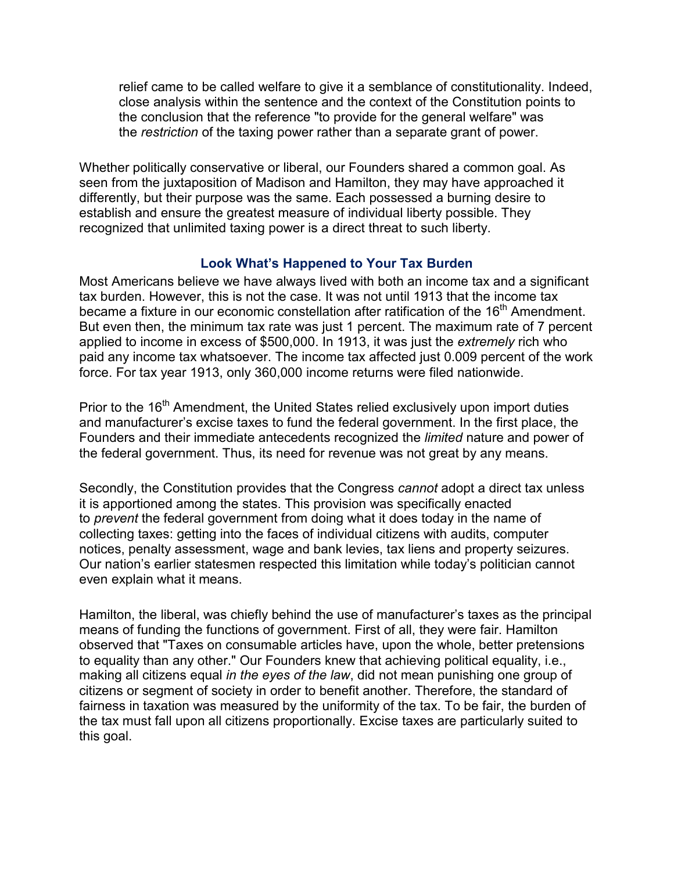relief came to be called welfare to give it a semblance of constitutionality. Indeed, close analysis within the sentence and the context of the Constitution points to the conclusion that the reference "to provide for the general welfare" was the *restriction* of the taxing power rather than a separate grant of power.

Whether politically conservative or liberal, our Founders shared a common goal. As seen from the juxtaposition of Madison and Hamilton, they may have approached it differently, but their purpose was the same. Each possessed a burning desire to establish and ensure the greatest measure of individual liberty possible. They recognized that unlimited taxing power is a direct threat to such liberty.

#### **Look What's Happened to Your Tax Burden**

Most Americans believe we have always lived with both an income tax and a significant tax burden. However, this is not the case. It was not until 1913 that the income tax became a fixture in our economic constellation after ratification of the  $16<sup>th</sup>$  Amendment. But even then, the minimum tax rate was just 1 percent. The maximum rate of 7 percent applied to income in excess of \$500,000. In 1913, it was just the *extremely* rich who paid any income tax whatsoever. The income tax affected just 0.009 percent of the work force. For tax year 1913, only 360,000 income returns were filed nationwide.

Prior to the 16<sup>th</sup> Amendment, the United States relied exclusively upon import duties and manufacturer's excise taxes to fund the federal government. In the first place, the Founders and their immediate antecedents recognized the *limited* nature and power of the federal government. Thus, its need for revenue was not great by any means.

Secondly, the Constitution provides that the Congress *cannot* adopt a direct tax unless it is apportioned among the states. This provision was specifically enacted to *prevent* the federal government from doing what it does today in the name of collecting taxes: getting into the faces of individual citizens with audits, computer notices, penalty assessment, wage and bank levies, tax liens and property seizures. Our nation's earlier statesmen respected this limitation while today's politician cannot even explain what it means.

Hamilton, the liberal, was chiefly behind the use of manufacturer's taxes as the principal means of funding the functions of government. First of all, they were fair. Hamilton observed that "Taxes on consumable articles have, upon the whole, better pretensions to equality than any other." Our Founders knew that achieving political equality, i.e., making all citizens equal *in the eyes of the law*, did not mean punishing one group of citizens or segment of society in order to benefit another. Therefore, the standard of fairness in taxation was measured by the uniformity of the tax. To be fair, the burden of the tax must fall upon all citizens proportionally. Excise taxes are particularly suited to this goal.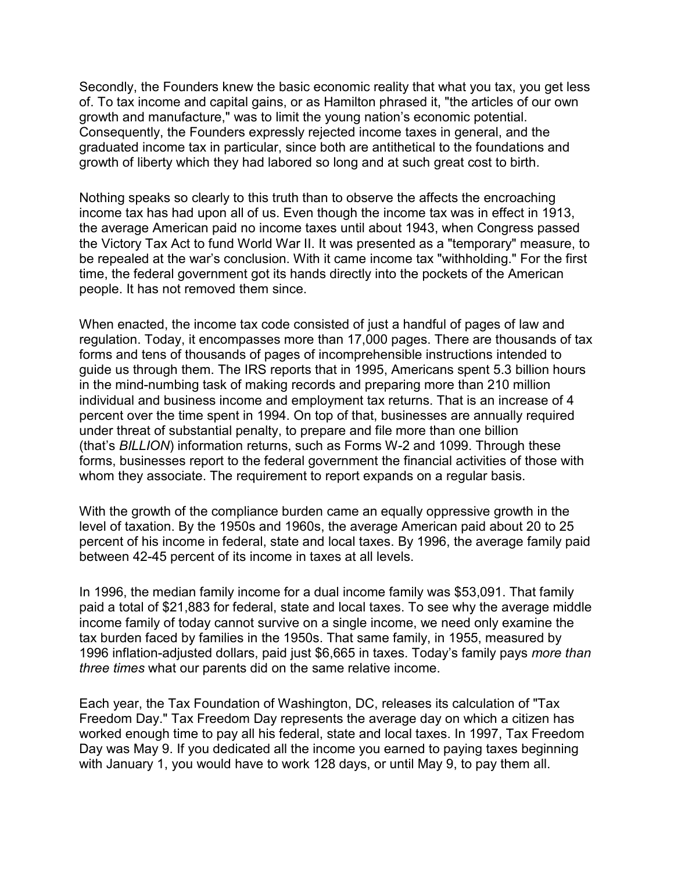Secondly, the Founders knew the basic economic reality that what you tax, you get less of. To tax income and capital gains, or as Hamilton phrased it, "the articles of our own growth and manufacture," was to limit the young nation's economic potential. Consequently, the Founders expressly rejected income taxes in general, and the graduated income tax in particular, since both are antithetical to the foundations and growth of liberty which they had labored so long and at such great cost to birth.

Nothing speaks so clearly to this truth than to observe the affects the encroaching income tax has had upon all of us. Even though the income tax was in effect in 1913, the average American paid no income taxes until about 1943, when Congress passed the Victory Tax Act to fund World War II. It was presented as a "temporary" measure, to be repealed at the war's conclusion. With it came income tax "withholding." For the first time, the federal government got its hands directly into the pockets of the American people. It has not removed them since.

When enacted, the income tax code consisted of just a handful of pages of law and regulation. Today, it encompasses more than 17,000 pages. There are thousands of tax forms and tens of thousands of pages of incomprehensible instructions intended to guide us through them. The IRS reports that in 1995, Americans spent 5.3 billion hours in the mind-numbing task of making records and preparing more than 210 million individual and business income and employment tax returns. That is an increase of 4 percent over the time spent in 1994. On top of that, businesses are annually required under threat of substantial penalty, to prepare and file more than one billion (that's *BILLION*) information returns, such as Forms W-2 and 1099. Through these forms, businesses report to the federal government the financial activities of those with whom they associate. The requirement to report expands on a regular basis.

With the growth of the compliance burden came an equally oppressive growth in the level of taxation. By the 1950s and 1960s, the average American paid about 20 to 25 percent of his income in federal, state and local taxes. By 1996, the average family paid between 42-45 percent of its income in taxes at all levels.

In 1996, the median family income for a dual income family was \$53,091. That family paid a total of \$21,883 for federal, state and local taxes. To see why the average middle income family of today cannot survive on a single income, we need only examine the tax burden faced by families in the 1950s. That same family, in 1955, measured by 1996 inflation-adjusted dollars, paid just \$6,665 in taxes. Today's family pays *more than three times* what our parents did on the same relative income.

Each year, the Tax Foundation of Washington, DC, releases its calculation of "Tax Freedom Day." Tax Freedom Day represents the average day on which a citizen has worked enough time to pay all his federal, state and local taxes. In 1997, Tax Freedom Day was May 9. If you dedicated all the income you earned to paying taxes beginning with January 1, you would have to work 128 days, or until May 9, to pay them all.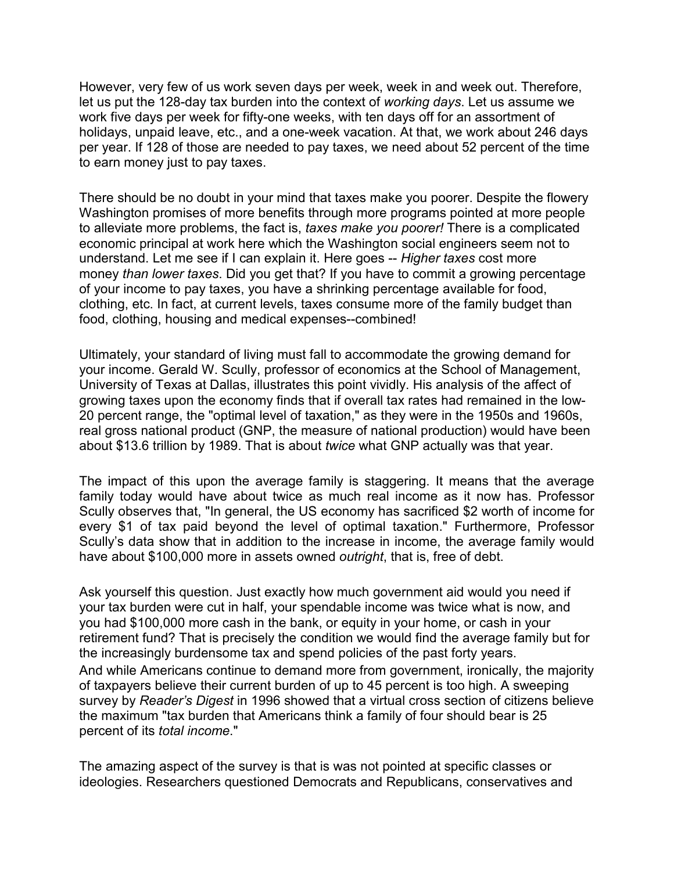However, very few of us work seven days per week, week in and week out. Therefore, let us put the 128-day tax burden into the context of *working days*. Let us assume we work five days per week for fifty-one weeks, with ten days off for an assortment of holidays, unpaid leave, etc., and a one-week vacation. At that, we work about 246 days per year. If 128 of those are needed to pay taxes, we need about 52 percent of the time to earn money just to pay taxes.

There should be no doubt in your mind that taxes make you poorer. Despite the flowery Washington promises of more benefits through more programs pointed at more people to alleviate more problems, the fact is, *taxes make you poorer!* There is a complicated economic principal at work here which the Washington social engineers seem not to understand. Let me see if I can explain it. Here goes -- *Higher taxes* cost more money *than lower taxes*. Did you get that? If you have to commit a growing percentage of your income to pay taxes, you have a shrinking percentage available for food, clothing, etc. In fact, at current levels, taxes consume more of the family budget than food, clothing, housing and medical expenses--combined!

Ultimately, your standard of living must fall to accommodate the growing demand for your income. Gerald W. Scully, professor of economics at the School of Management, University of Texas at Dallas, illustrates this point vividly. His analysis of the affect of growing taxes upon the economy finds that if overall tax rates had remained in the low-20 percent range, the "optimal level of taxation," as they were in the 1950s and 1960s, real gross national product (GNP, the measure of national production) would have been about \$13.6 trillion by 1989. That is about *twice* what GNP actually was that year.

The impact of this upon the average family is staggering. It means that the average family today would have about twice as much real income as it now has. Professor Scully observes that, "In general, the US economy has sacrificed \$2 worth of income for every \$1 of tax paid beyond the level of optimal taxation." Furthermore, Professor Scully's data show that in addition to the increase in income, the average family would have about \$100,000 more in assets owned *outright*, that is, free of debt.

Ask yourself this question. Just exactly how much government aid would you need if your tax burden were cut in half, your spendable income was twice what is now, and you had \$100,000 more cash in the bank, or equity in your home, or cash in your retirement fund? That is precisely the condition we would find the average family but for the increasingly burdensome tax and spend policies of the past forty years. And while Americans continue to demand more from government, ironically, the majority of taxpayers believe their current burden of up to 45 percent is too high. A sweeping survey by *Reader's Digest* in 1996 showed that a virtual cross section of citizens believe the maximum "tax burden that Americans think a family of four should bear is 25 percent of its *total income*."

The amazing aspect of the survey is that is was not pointed at specific classes or ideologies. Researchers questioned Democrats and Republicans, conservatives and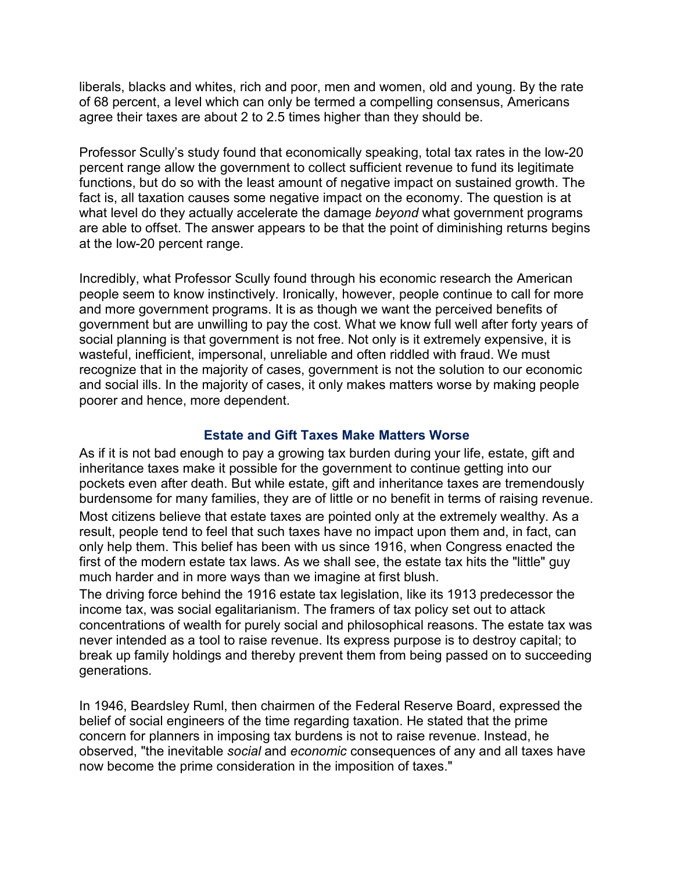liberals, blacks and whites, rich and poor, men and women, old and young. By the rate of 68 percent, a level which can only be termed a compelling consensus, Americans agree their taxes are about 2 to 2.5 times higher than they should be.

Professor Scully's study found that economically speaking, total tax rates in the low-20 percent range allow the government to collect sufficient revenue to fund its legitimate functions, but do so with the least amount of negative impact on sustained growth. The fact is, all taxation causes some negative impact on the economy. The question is at what level do they actually accelerate the damage *beyond* what government programs are able to offset. The answer appears to be that the point of diminishing returns begins at the low-20 percent range.

Incredibly, what Professor Scully found through his economic research the American people seem to know instinctively. Ironically, however, people continue to call for more and more government programs. It is as though we want the perceived benefits of government but are unwilling to pay the cost. What we know full well after forty years of social planning is that government is not free. Not only is it extremely expensive, it is wasteful, inefficient, impersonal, unreliable and often riddled with fraud. We must recognize that in the majority of cases, government is not the solution to our economic and social ills. In the majority of cases, it only makes matters worse by making people poorer and hence, more dependent.

#### **Estate and Gift Taxes Make Matters Worse**

As if it is not bad enough to pay a growing tax burden during your life, estate, gift and inheritance taxes make it possible for the government to continue getting into our pockets even after death. But while estate, gift and inheritance taxes are tremendously burdensome for many families, they are of little or no benefit in terms of raising revenue.

Most citizens believe that estate taxes are pointed only at the extremely wealthy. As a result, people tend to feel that such taxes have no impact upon them and, in fact, can only help them. This belief has been with us since 1916, when Congress enacted the first of the modern estate tax laws. As we shall see, the estate tax hits the "little" guy much harder and in more ways than we imagine at first blush.

The driving force behind the 1916 estate tax legislation, like its 1913 predecessor the income tax, was social egalitarianism. The framers of tax policy set out to attack concentrations of wealth for purely social and philosophical reasons. The estate tax was never intended as a tool to raise revenue. Its express purpose is to destroy capital; to break up family holdings and thereby prevent them from being passed on to succeeding generations.

In 1946, Beardsley Ruml, then chairmen of the Federal Reserve Board, expressed the belief of social engineers of the time regarding taxation. He stated that the prime concern for planners in imposing tax burdens is not to raise revenue. Instead, he observed, "the inevitable *social* and *economic* consequences of any and all taxes have now become the prime consideration in the imposition of taxes."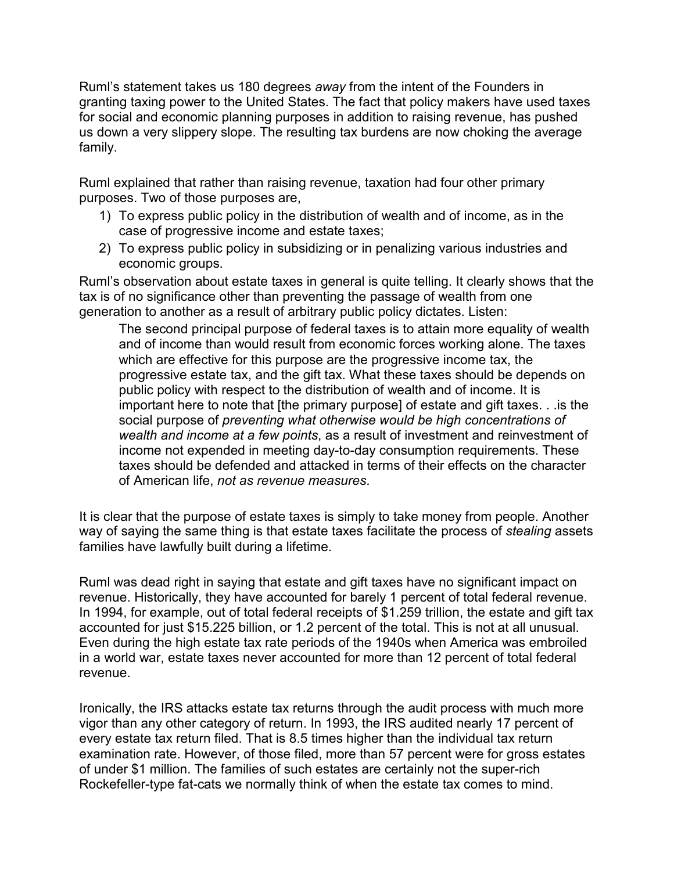Ruml's statement takes us 180 degrees *away* from the intent of the Founders in granting taxing power to the United States. The fact that policy makers have used taxes for social and economic planning purposes in addition to raising revenue, has pushed us down a very slippery slope. The resulting tax burdens are now choking the average family.

Ruml explained that rather than raising revenue, taxation had four other primary purposes. Two of those purposes are,

- 1) To express public policy in the distribution of wealth and of income, as in the case of progressive income and estate taxes;
- 2) To express public policy in subsidizing or in penalizing various industries and economic groups.

Ruml's observation about estate taxes in general is quite telling. It clearly shows that the tax is of no significance other than preventing the passage of wealth from one generation to another as a result of arbitrary public policy dictates. Listen:

The second principal purpose of federal taxes is to attain more equality of wealth and of income than would result from economic forces working alone. The taxes which are effective for this purpose are the progressive income tax, the progressive estate tax, and the gift tax. What these taxes should be depends on public policy with respect to the distribution of wealth and of income. It is important here to note that [the primary purpose] of estate and gift taxes. . .is the social purpose of *preventing what otherwise would be high concentrations of wealth and income at a few points*, as a result of investment and reinvestment of income not expended in meeting day-to-day consumption requirements. These taxes should be defended and attacked in terms of their effects on the character of American life, *not as revenue measures*.

It is clear that the purpose of estate taxes is simply to take money from people. Another way of saying the same thing is that estate taxes facilitate the process of *stealing* assets families have lawfully built during a lifetime.

Ruml was dead right in saying that estate and gift taxes have no significant impact on revenue. Historically, they have accounted for barely 1 percent of total federal revenue. In 1994, for example, out of total federal receipts of \$1.259 trillion, the estate and gift tax accounted for just \$15.225 billion, or 1.2 percent of the total. This is not at all unusual. Even during the high estate tax rate periods of the 1940s when America was embroiled in a world war, estate taxes never accounted for more than 12 percent of total federal revenue.

Ironically, the IRS attacks estate tax returns through the audit process with much more vigor than any other category of return. In 1993, the IRS audited nearly 17 percent of every estate tax return filed. That is 8.5 times higher than the individual tax return examination rate. However, of those filed, more than 57 percent were for gross estates of under \$1 million. The families of such estates are certainly not the super-rich Rockefeller-type fat-cats we normally think of when the estate tax comes to mind.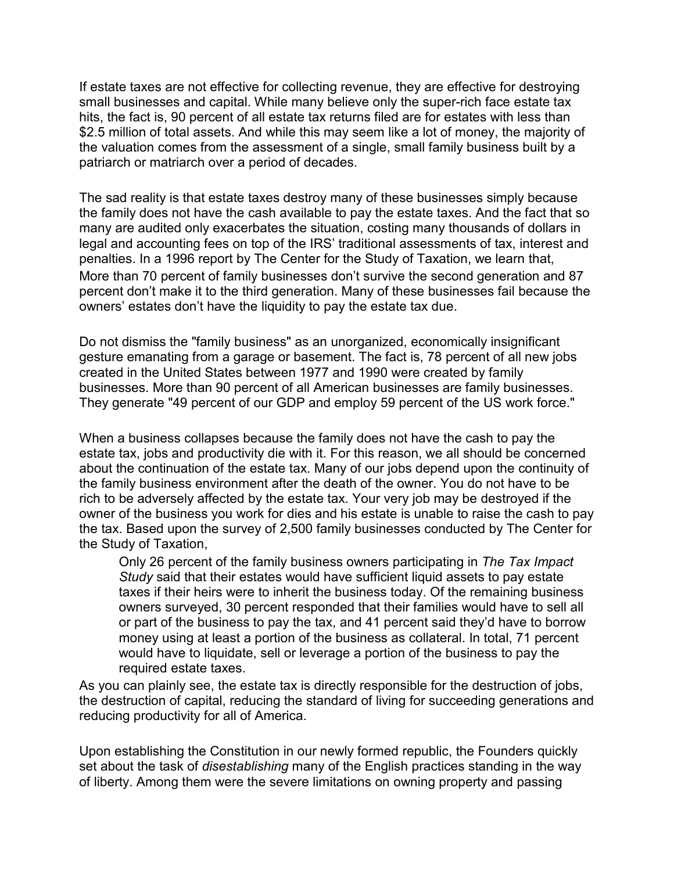If estate taxes are not effective for collecting revenue, they are effective for destroying small businesses and capital. While many believe only the super-rich face estate tax hits, the fact is, 90 percent of all estate tax returns filed are for estates with less than \$2.5 million of total assets. And while this may seem like a lot of money, the majority of the valuation comes from the assessment of a single, small family business built by a patriarch or matriarch over a period of decades.

The sad reality is that estate taxes destroy many of these businesses simply because the family does not have the cash available to pay the estate taxes. And the fact that so many are audited only exacerbates the situation, costing many thousands of dollars in legal and accounting fees on top of the IRS' traditional assessments of tax, interest and penalties. In a 1996 report by The Center for the Study of Taxation, we learn that, More than 70 percent of family businesses don't survive the second generation and 87 percent don't make it to the third generation. Many of these businesses fail because the owners' estates don't have the liquidity to pay the estate tax due.

Do not dismiss the "family business" as an unorganized, economically insignificant gesture emanating from a garage or basement. The fact is, 78 percent of all new jobs created in the United States between 1977 and 1990 were created by family businesses. More than 90 percent of all American businesses are family businesses. They generate "49 percent of our GDP and employ 59 percent of the US work force."

When a business collapses because the family does not have the cash to pay the estate tax, jobs and productivity die with it. For this reason, we all should be concerned about the continuation of the estate tax. Many of our jobs depend upon the continuity of the family business environment after the death of the owner. You do not have to be rich to be adversely affected by the estate tax. Your very job may be destroyed if the owner of the business you work for dies and his estate is unable to raise the cash to pay the tax. Based upon the survey of 2,500 family businesses conducted by The Center for the Study of Taxation,

Only 26 percent of the family business owners participating in *The Tax Impact Study* said that their estates would have sufficient liquid assets to pay estate taxes if their heirs were to inherit the business today. Of the remaining business owners surveyed, 30 percent responded that their families would have to sell all or part of the business to pay the tax, and 41 percent said they'd have to borrow money using at least a portion of the business as collateral. In total, 71 percent would have to liquidate, sell or leverage a portion of the business to pay the required estate taxes.

As you can plainly see, the estate tax is directly responsible for the destruction of jobs, the destruction of capital, reducing the standard of living for succeeding generations and reducing productivity for all of America.

Upon establishing the Constitution in our newly formed republic, the Founders quickly set about the task of *disestablishing* many of the English practices standing in the way of liberty. Among them were the severe limitations on owning property and passing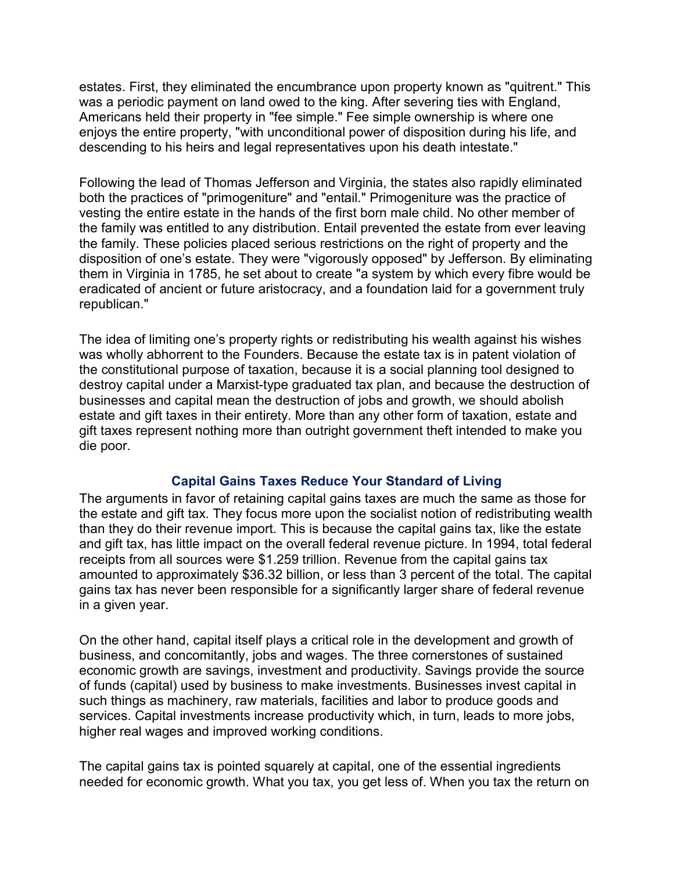estates. First, they eliminated the encumbrance upon property known as "quitrent." This was a periodic payment on land owed to the king. After severing ties with England, Americans held their property in "fee simple." Fee simple ownership is where one enjoys the entire property, "with unconditional power of disposition during his life, and descending to his heirs and legal representatives upon his death intestate."

Following the lead of Thomas Jefferson and Virginia, the states also rapidly eliminated both the practices of "primogeniture" and "entail." Primogeniture was the practice of vesting the entire estate in the hands of the first born male child. No other member of the family was entitled to any distribution. Entail prevented the estate from ever leaving the family. These policies placed serious restrictions on the right of property and the disposition of one's estate. They were "vigorously opposed" by Jefferson. By eliminating them in Virginia in 1785, he set about to create "a system by which every fibre would be eradicated of ancient or future aristocracy, and a foundation laid for a government truly republican."

The idea of limiting one's property rights or redistributing his wealth against his wishes was wholly abhorrent to the Founders. Because the estate tax is in patent violation of the constitutional purpose of taxation, because it is a social planning tool designed to destroy capital under a Marxist-type graduated tax plan, and because the destruction of businesses and capital mean the destruction of jobs and growth, we should abolish estate and gift taxes in their entirety. More than any other form of taxation, estate and gift taxes represent nothing more than outright government theft intended to make you die poor.

#### **Capital Gains Taxes Reduce Your Standard of Living**

The arguments in favor of retaining capital gains taxes are much the same as those for the estate and gift tax. They focus more upon the socialist notion of redistributing wealth than they do their revenue import. This is because the capital gains tax, like the estate and gift tax, has little impact on the overall federal revenue picture. In 1994, total federal receipts from all sources were \$1.259 trillion. Revenue from the capital gains tax amounted to approximately \$36.32 billion, or less than 3 percent of the total. The capital gains tax has never been responsible for a significantly larger share of federal revenue in a given year.

On the other hand, capital itself plays a critical role in the development and growth of business, and concomitantly, jobs and wages. The three cornerstones of sustained economic growth are savings, investment and productivity. Savings provide the source of funds (capital) used by business to make investments. Businesses invest capital in such things as machinery, raw materials, facilities and labor to produce goods and services. Capital investments increase productivity which, in turn, leads to more jobs, higher real wages and improved working conditions.

The capital gains tax is pointed squarely at capital, one of the essential ingredients needed for economic growth. What you tax, you get less of. When you tax the return on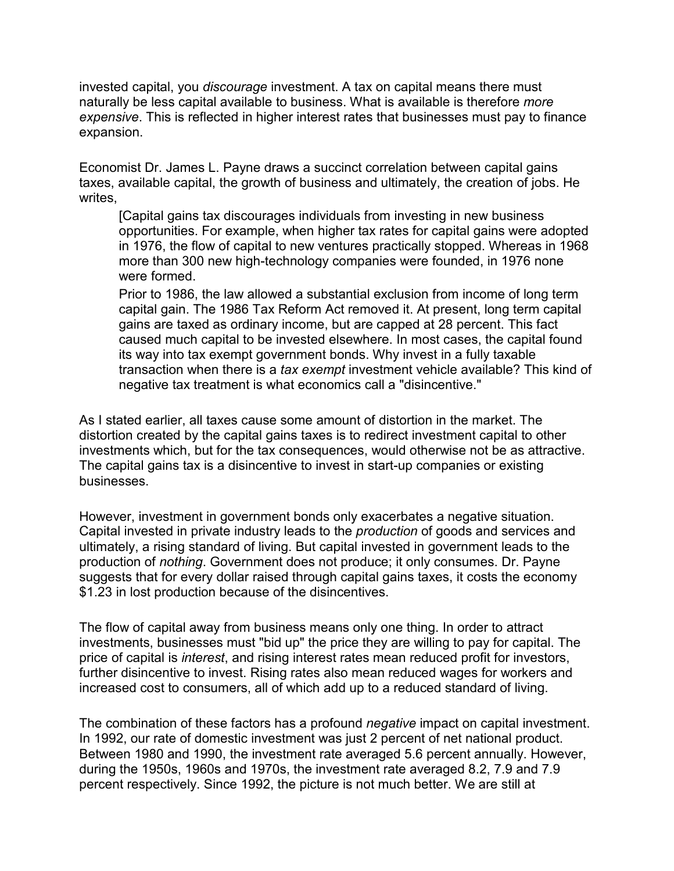invested capital, you *discourage* investment. A tax on capital means there must naturally be less capital available to business. What is available is therefore *more expensive*. This is reflected in higher interest rates that businesses must pay to finance expansion.

Economist Dr. James L. Payne draws a succinct correlation between capital gains taxes, available capital, the growth of business and ultimately, the creation of jobs. He writes,

[Capital gains tax discourages individuals from investing in new business opportunities. For example, when higher tax rates for capital gains were adopted in 1976, the flow of capital to new ventures practically stopped. Whereas in 1968 more than 300 new high-technology companies were founded, in 1976 none were formed

Prior to 1986, the law allowed a substantial exclusion from income of long term capital gain. The 1986 Tax Reform Act removed it. At present, long term capital gains are taxed as ordinary income, but are capped at 28 percent. This fact caused much capital to be invested elsewhere. In most cases, the capital found its way into tax exempt government bonds. Why invest in a fully taxable transaction when there is a *tax exempt* investment vehicle available? This kind of negative tax treatment is what economics call a "disincentive."

As I stated earlier, all taxes cause some amount of distortion in the market. The distortion created by the capital gains taxes is to redirect investment capital to other investments which, but for the tax consequences, would otherwise not be as attractive. The capital gains tax is a disincentive to invest in start-up companies or existing businesses.

However, investment in government bonds only exacerbates a negative situation. Capital invested in private industry leads to the *production* of goods and services and ultimately, a rising standard of living. But capital invested in government leads to the production of *nothing*. Government does not produce; it only consumes. Dr. Payne suggests that for every dollar raised through capital gains taxes, it costs the economy \$1.23 in lost production because of the disincentives.

The flow of capital away from business means only one thing. In order to attract investments, businesses must "bid up" the price they are willing to pay for capital. The price of capital is *interest*, and rising interest rates mean reduced profit for investors, further disincentive to invest. Rising rates also mean reduced wages for workers and increased cost to consumers, all of which add up to a reduced standard of living.

The combination of these factors has a profound *negative* impact on capital investment. In 1992, our rate of domestic investment was just 2 percent of net national product. Between 1980 and 1990, the investment rate averaged 5.6 percent annually. However, during the 1950s, 1960s and 1970s, the investment rate averaged 8.2, 7.9 and 7.9 percent respectively. Since 1992, the picture is not much better. We are still at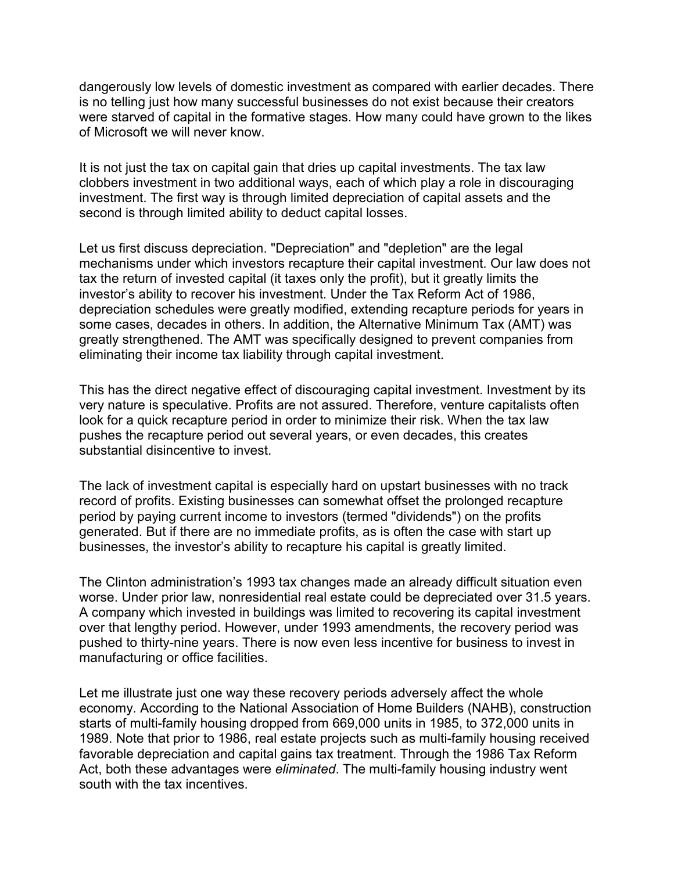dangerously low levels of domestic investment as compared with earlier decades. There is no telling just how many successful businesses do not exist because their creators were starved of capital in the formative stages. How many could have grown to the likes of Microsoft we will never know.

It is not just the tax on capital gain that dries up capital investments. The tax law clobbers investment in two additional ways, each of which play a role in discouraging investment. The first way is through limited depreciation of capital assets and the second is through limited ability to deduct capital losses.

Let us first discuss depreciation. "Depreciation" and "depletion" are the legal mechanisms under which investors recapture their capital investment. Our law does not tax the return of invested capital (it taxes only the profit), but it greatly limits the investor's ability to recover his investment. Under the Tax Reform Act of 1986, depreciation schedules were greatly modified, extending recapture periods for years in some cases, decades in others. In addition, the Alternative Minimum Tax (AMT) was greatly strengthened. The AMT was specifically designed to prevent companies from eliminating their income tax liability through capital investment.

This has the direct negative effect of discouraging capital investment. Investment by its very nature is speculative. Profits are not assured. Therefore, venture capitalists often look for a quick recapture period in order to minimize their risk. When the tax law pushes the recapture period out several years, or even decades, this creates substantial disincentive to invest.

The lack of investment capital is especially hard on upstart businesses with no track record of profits. Existing businesses can somewhat offset the prolonged recapture period by paying current income to investors (termed "dividends") on the profits generated. But if there are no immediate profits, as is often the case with start up businesses, the investor's ability to recapture his capital is greatly limited.

The Clinton administration's 1993 tax changes made an already difficult situation even worse. Under prior law, nonresidential real estate could be depreciated over 31.5 years. A company which invested in buildings was limited to recovering its capital investment over that lengthy period. However, under 1993 amendments, the recovery period was pushed to thirty-nine years. There is now even less incentive for business to invest in manufacturing or office facilities.

Let me illustrate just one way these recovery periods adversely affect the whole economy. According to the National Association of Home Builders (NAHB), construction starts of multi-family housing dropped from 669,000 units in 1985, to 372,000 units in 1989. Note that prior to 1986, real estate projects such as multi-family housing received favorable depreciation and capital gains tax treatment. Through the 1986 Tax Reform Act, both these advantages were *eliminated*. The multi-family housing industry went south with the tax incentives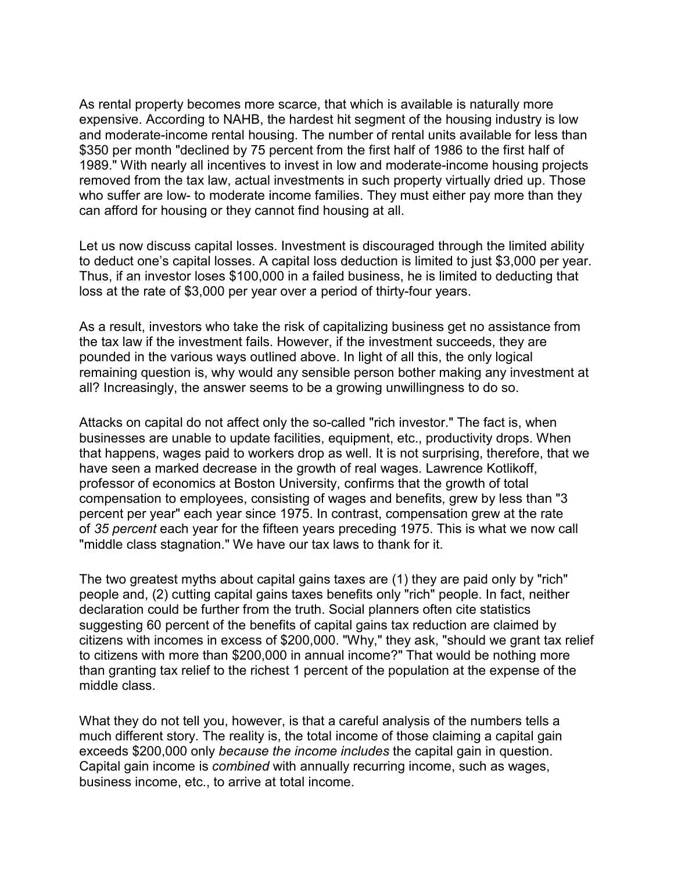As rental property becomes more scarce, that which is available is naturally more expensive. According to NAHB, the hardest hit segment of the housing industry is low and moderate-income rental housing. The number of rental units available for less than \$350 per month "declined by 75 percent from the first half of 1986 to the first half of 1989." With nearly all incentives to invest in low and moderate-income housing projects removed from the tax law, actual investments in such property virtually dried up. Those who suffer are low- to moderate income families. They must either pay more than they can afford for housing or they cannot find housing at all.

Let us now discuss capital losses. Investment is discouraged through the limited ability to deduct one's capital losses. A capital loss deduction is limited to just \$3,000 per year. Thus, if an investor loses \$100,000 in a failed business, he is limited to deducting that loss at the rate of \$3,000 per year over a period of thirty-four years.

As a result, investors who take the risk of capitalizing business get no assistance from the tax law if the investment fails. However, if the investment succeeds, they are pounded in the various ways outlined above. In light of all this, the only logical remaining question is, why would any sensible person bother making any investment at all? Increasingly, the answer seems to be a growing unwillingness to do so.

Attacks on capital do not affect only the so-called "rich investor." The fact is, when businesses are unable to update facilities, equipment, etc., productivity drops. When that happens, wages paid to workers drop as well. It is not surprising, therefore, that we have seen a marked decrease in the growth of real wages. Lawrence Kotlikoff, professor of economics at Boston University, confirms that the growth of total compensation to employees, consisting of wages and benefits, grew by less than "3 percent per year" each year since 1975. In contrast, compensation grew at the rate of *35 percent* each year for the fifteen years preceding 1975. This is what we now call "middle class stagnation." We have our tax laws to thank for it.

The two greatest myths about capital gains taxes are (1) they are paid only by "rich" people and, (2) cutting capital gains taxes benefits only "rich" people. In fact, neither declaration could be further from the truth. Social planners often cite statistics suggesting 60 percent of the benefits of capital gains tax reduction are claimed by citizens with incomes in excess of \$200,000. "Why," they ask, "should we grant tax relief to citizens with more than \$200,000 in annual income?" That would be nothing more than granting tax relief to the richest 1 percent of the population at the expense of the middle class.

What they do not tell you, however, is that a careful analysis of the numbers tells a much different story. The reality is, the total income of those claiming a capital gain exceeds \$200,000 only *because the income includes* the capital gain in question. Capital gain income is *combined* with annually recurring income, such as wages, business income, etc., to arrive at total income.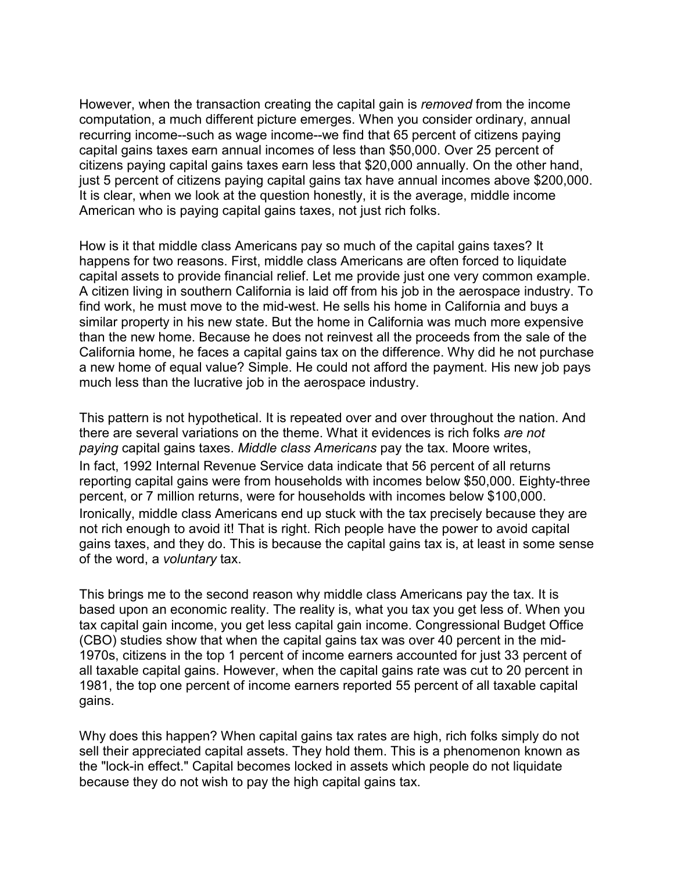However, when the transaction creating the capital gain is *removed* from the income computation, a much different picture emerges. When you consider ordinary, annual recurring income--such as wage income--we find that 65 percent of citizens paying capital gains taxes earn annual incomes of less than \$50,000. Over 25 percent of citizens paying capital gains taxes earn less that \$20,000 annually. On the other hand, just 5 percent of citizens paying capital gains tax have annual incomes above \$200,000. It is clear, when we look at the question honestly, it is the average, middle income American who is paying capital gains taxes, not just rich folks.

How is it that middle class Americans pay so much of the capital gains taxes? It happens for two reasons. First, middle class Americans are often forced to liquidate capital assets to provide financial relief. Let me provide just one very common example. A citizen living in southern California is laid off from his job in the aerospace industry. To find work, he must move to the mid-west. He sells his home in California and buys a similar property in his new state. But the home in California was much more expensive than the new home. Because he does not reinvest all the proceeds from the sale of the California home, he faces a capital gains tax on the difference. Why did he not purchase a new home of equal value? Simple. He could not afford the payment. His new job pays much less than the lucrative job in the aerospace industry.

This pattern is not hypothetical. It is repeated over and over throughout the nation. And there are several variations on the theme. What it evidences is rich folks *are not paying* capital gains taxes. *Middle class Americans* pay the tax. Moore writes, In fact, 1992 Internal Revenue Service data indicate that 56 percent of all returns reporting capital gains were from households with incomes below \$50,000. Eighty-three percent, or 7 million returns, were for households with incomes below \$100,000. Ironically, middle class Americans end up stuck with the tax precisely because they are not rich enough to avoid it! That is right. Rich people have the power to avoid capital gains taxes, and they do. This is because the capital gains tax is, at least in some sense of the word, a *voluntary* tax.

This brings me to the second reason why middle class Americans pay the tax. It is based upon an economic reality. The reality is, what you tax you get less of. When you tax capital gain income, you get less capital gain income. Congressional Budget Office (CBO) studies show that when the capital gains tax was over 40 percent in the mid-1970s, citizens in the top 1 percent of income earners accounted for just 33 percent of all taxable capital gains. However, when the capital gains rate was cut to 20 percent in 1981, the top one percent of income earners reported 55 percent of all taxable capital gains.

Why does this happen? When capital gains tax rates are high, rich folks simply do not sell their appreciated capital assets. They hold them. This is a phenomenon known as the "lock-in effect." Capital becomes locked in assets which people do not liquidate because they do not wish to pay the high capital gains tax.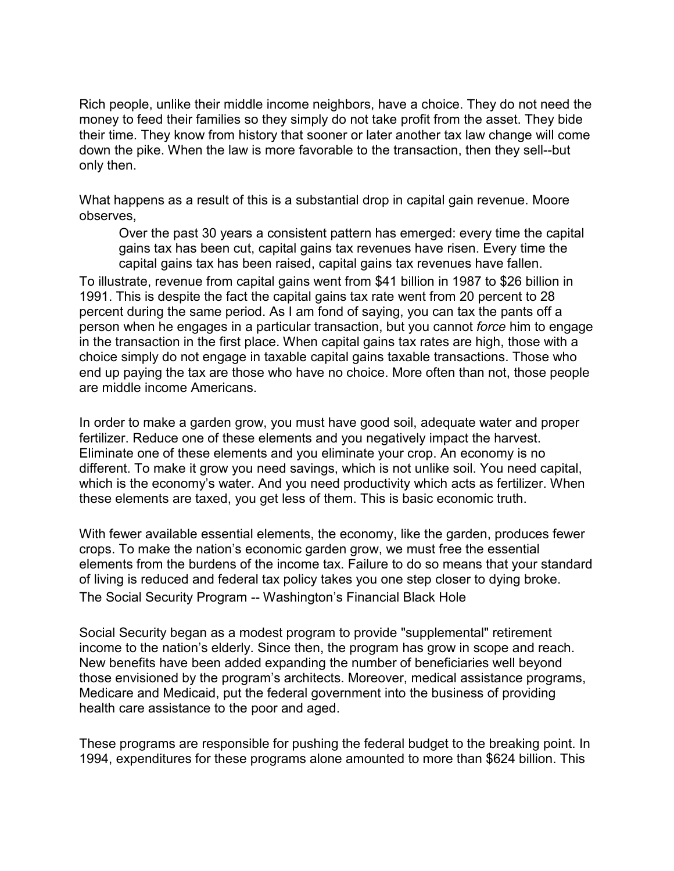Rich people, unlike their middle income neighbors, have a choice. They do not need the money to feed their families so they simply do not take profit from the asset. They bide their time. They know from history that sooner or later another tax law change will come down the pike. When the law is more favorable to the transaction, then they sell--but only then.

What happens as a result of this is a substantial drop in capital gain revenue. Moore observes,

Over the past 30 years a consistent pattern has emerged: every time the capital gains tax has been cut, capital gains tax revenues have risen. Every time the capital gains tax has been raised, capital gains tax revenues have fallen.

To illustrate, revenue from capital gains went from \$41 billion in 1987 to \$26 billion in 1991. This is despite the fact the capital gains tax rate went from 20 percent to 28 percent during the same period. As I am fond of saying, you can tax the pants off a person when he engages in a particular transaction, but you cannot *force* him to engage in the transaction in the first place. When capital gains tax rates are high, those with a choice simply do not engage in taxable capital gains taxable transactions. Those who end up paying the tax are those who have no choice. More often than not, those people are middle income Americans.

In order to make a garden grow, you must have good soil, adequate water and proper fertilizer. Reduce one of these elements and you negatively impact the harvest. Eliminate one of these elements and you eliminate your crop. An economy is no different. To make it grow you need savings, which is not unlike soil. You need capital, which is the economy's water. And you need productivity which acts as fertilizer. When these elements are taxed, you get less of them. This is basic economic truth.

With fewer available essential elements, the economy, like the garden, produces fewer crops. To make the nation's economic garden grow, we must free the essential elements from the burdens of the income tax. Failure to do so means that your standard of living is reduced and federal tax policy takes you one step closer to dying broke. The Social Security Program -- Washington's Financial Black Hole

Social Security began as a modest program to provide "supplemental" retirement income to the nation's elderly. Since then, the program has grow in scope and reach. New benefits have been added expanding the number of beneficiaries well beyond those envisioned by the program's architects. Moreover, medical assistance programs, Medicare and Medicaid, put the federal government into the business of providing health care assistance to the poor and aged.

These programs are responsible for pushing the federal budget to the breaking point. In 1994, expenditures for these programs alone amounted to more than \$624 billion. This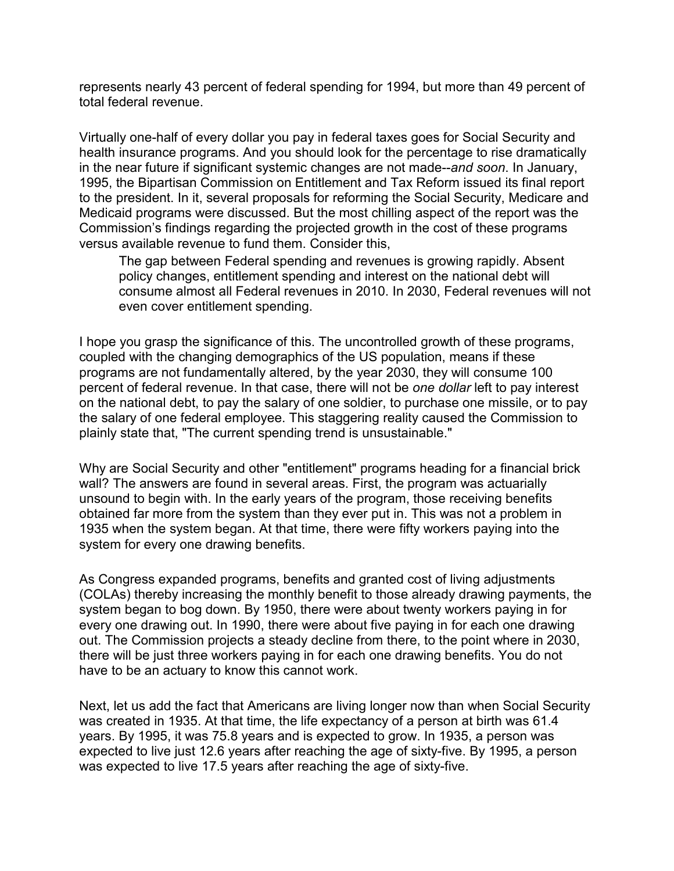represents nearly 43 percent of federal spending for 1994, but more than 49 percent of total federal revenue.

Virtually one-half of every dollar you pay in federal taxes goes for Social Security and health insurance programs. And you should look for the percentage to rise dramatically in the near future if significant systemic changes are not made--*and soon*. In January, 1995, the Bipartisan Commission on Entitlement and Tax Reform issued its final report to the president. In it, several proposals for reforming the Social Security, Medicare and Medicaid programs were discussed. But the most chilling aspect of the report was the Commission's findings regarding the projected growth in the cost of these programs versus available revenue to fund them. Consider this,

The gap between Federal spending and revenues is growing rapidly. Absent policy changes, entitlement spending and interest on the national debt will consume almost all Federal revenues in 2010. In 2030, Federal revenues will not even cover entitlement spending.

I hope you grasp the significance of this. The uncontrolled growth of these programs, coupled with the changing demographics of the US population, means if these programs are not fundamentally altered, by the year 2030, they will consume 100 percent of federal revenue. In that case, there will not be *one dollar* left to pay interest on the national debt, to pay the salary of one soldier, to purchase one missile, or to pay the salary of one federal employee. This staggering reality caused the Commission to plainly state that, "The current spending trend is unsustainable."

Why are Social Security and other "entitlement" programs heading for a financial brick wall? The answers are found in several areas. First, the program was actuarially unsound to begin with. In the early years of the program, those receiving benefits obtained far more from the system than they ever put in. This was not a problem in 1935 when the system began. At that time, there were fifty workers paying into the system for every one drawing benefits.

As Congress expanded programs, benefits and granted cost of living adjustments (COLAs) thereby increasing the monthly benefit to those already drawing payments, the system began to bog down. By 1950, there were about twenty workers paying in for every one drawing out. In 1990, there were about five paying in for each one drawing out. The Commission projects a steady decline from there, to the point where in 2030, there will be just three workers paying in for each one drawing benefits. You do not have to be an actuary to know this cannot work.

Next, let us add the fact that Americans are living longer now than when Social Security was created in 1935. At that time, the life expectancy of a person at birth was 61.4 years. By 1995, it was 75.8 years and is expected to grow. In 1935, a person was expected to live just 12.6 years after reaching the age of sixty-five. By 1995, a person was expected to live 17.5 years after reaching the age of sixty-five.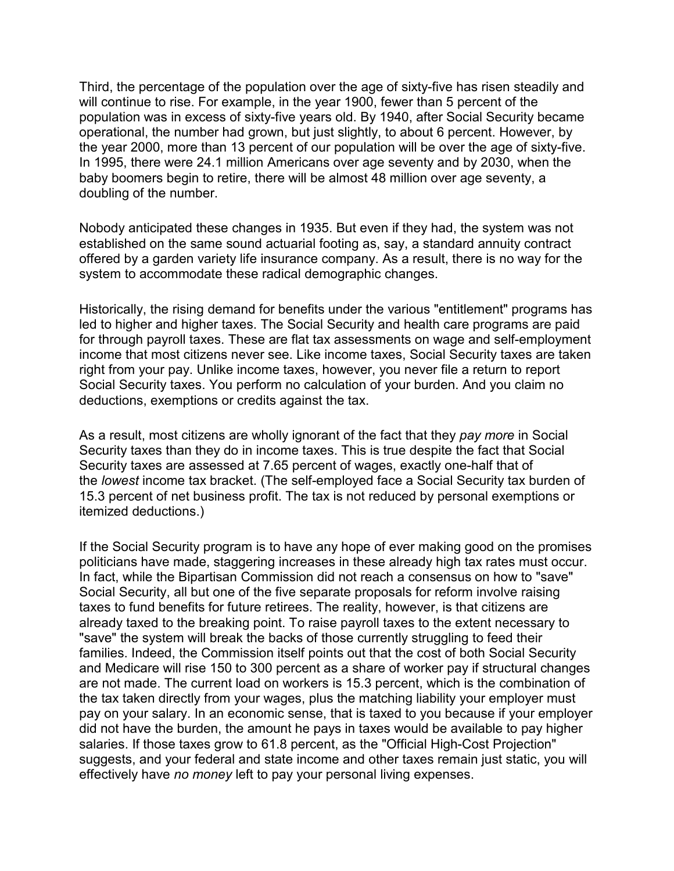Third, the percentage of the population over the age of sixty-five has risen steadily and will continue to rise. For example, in the year 1900, fewer than 5 percent of the population was in excess of sixty-five years old. By 1940, after Social Security became operational, the number had grown, but just slightly, to about 6 percent. However, by the year 2000, more than 13 percent of our population will be over the age of sixty-five. In 1995, there were 24.1 million Americans over age seventy and by 2030, when the baby boomers begin to retire, there will be almost 48 million over age seventy, a doubling of the number.

Nobody anticipated these changes in 1935. But even if they had, the system was not established on the same sound actuarial footing as, say, a standard annuity contract offered by a garden variety life insurance company. As a result, there is no way for the system to accommodate these radical demographic changes.

Historically, the rising demand for benefits under the various "entitlement" programs has led to higher and higher taxes. The Social Security and health care programs are paid for through payroll taxes. These are flat tax assessments on wage and self-employment income that most citizens never see. Like income taxes, Social Security taxes are taken right from your pay. Unlike income taxes, however, you never file a return to report Social Security taxes. You perform no calculation of your burden. And you claim no deductions, exemptions or credits against the tax.

As a result, most citizens are wholly ignorant of the fact that they *pay more* in Social Security taxes than they do in income taxes. This is true despite the fact that Social Security taxes are assessed at 7.65 percent of wages, exactly one-half that of the *lowest* income tax bracket. (The self-employed face a Social Security tax burden of 15.3 percent of net business profit. The tax is not reduced by personal exemptions or itemized deductions.)

If the Social Security program is to have any hope of ever making good on the promises politicians have made, staggering increases in these already high tax rates must occur. In fact, while the Bipartisan Commission did not reach a consensus on how to "save" Social Security, all but one of the five separate proposals for reform involve raising taxes to fund benefits for future retirees. The reality, however, is that citizens are already taxed to the breaking point. To raise payroll taxes to the extent necessary to "save" the system will break the backs of those currently struggling to feed their families. Indeed, the Commission itself points out that the cost of both Social Security and Medicare will rise 150 to 300 percent as a share of worker pay if structural changes are not made. The current load on workers is 15.3 percent, which is the combination of the tax taken directly from your wages, plus the matching liability your employer must pay on your salary. In an economic sense, that is taxed to you because if your employer did not have the burden, the amount he pays in taxes would be available to pay higher salaries. If those taxes grow to 61.8 percent, as the "Official High-Cost Projection" suggests, and your federal and state income and other taxes remain just static, you will effectively have *no money* left to pay your personal living expenses.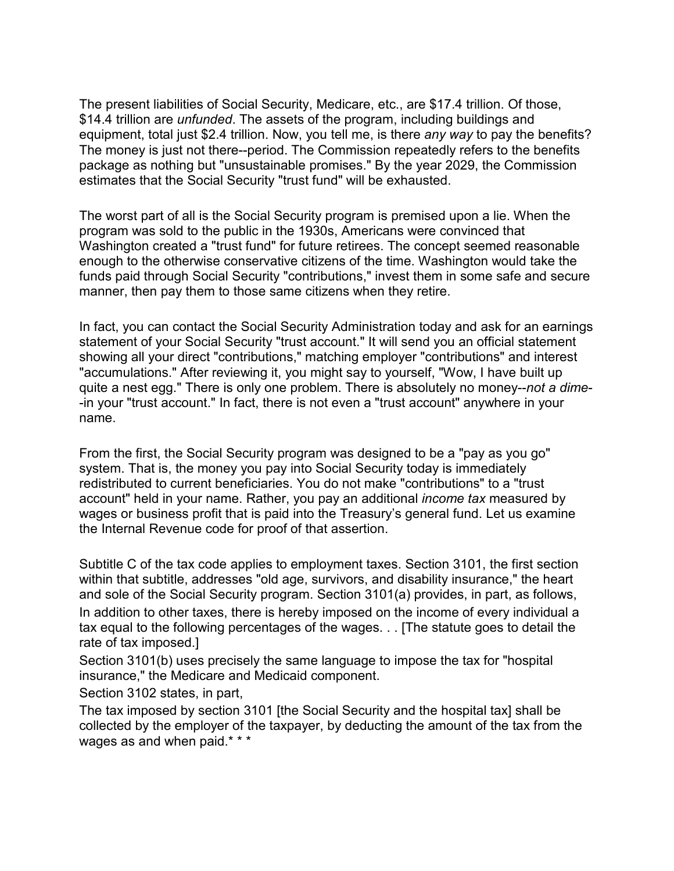The present liabilities of Social Security, Medicare, etc., are \$17.4 trillion. Of those, \$14.4 trillion are *unfunded*. The assets of the program, including buildings and equipment, total just \$2.4 trillion. Now, you tell me, is there *any way* to pay the benefits? The money is just not there--period. The Commission repeatedly refers to the benefits package as nothing but "unsustainable promises." By the year 2029, the Commission estimates that the Social Security "trust fund" will be exhausted.

The worst part of all is the Social Security program is premised upon a lie. When the program was sold to the public in the 1930s, Americans were convinced that Washington created a "trust fund" for future retirees. The concept seemed reasonable enough to the otherwise conservative citizens of the time. Washington would take the funds paid through Social Security "contributions," invest them in some safe and secure manner, then pay them to those same citizens when they retire.

In fact, you can contact the Social Security Administration today and ask for an earnings statement of your Social Security "trust account." It will send you an official statement showing all your direct "contributions," matching employer "contributions" and interest "accumulations." After reviewing it, you might say to yourself, "Wow, I have built up quite a nest egg." There is only one problem. There is absolutely no money--*not a dime*- -in your "trust account." In fact, there is not even a "trust account" anywhere in your name.

From the first, the Social Security program was designed to be a "pay as you go" system. That is, the money you pay into Social Security today is immediately redistributed to current beneficiaries. You do not make "contributions" to a "trust account" held in your name. Rather, you pay an additional *income tax* measured by wages or business profit that is paid into the Treasury's general fund. Let us examine the Internal Revenue code for proof of that assertion.

Subtitle C of the tax code applies to employment taxes. Section 3101, the first section within that subtitle, addresses "old age, survivors, and disability insurance," the heart and sole of the Social Security program. Section 3101(a) provides, in part, as follows, In addition to other taxes, there is hereby imposed on the income of every individual a tax equal to the following percentages of the wages. . . [The statute goes to detail the rate of tax imposed.]

Section 3101(b) uses precisely the same language to impose the tax for "hospital insurance," the Medicare and Medicaid component.

Section 3102 states, in part,

The tax imposed by section 3101 [the Social Security and the hospital tax] shall be collected by the employer of the taxpayer, by deducting the amount of the tax from the wages as and when paid.\* \* \*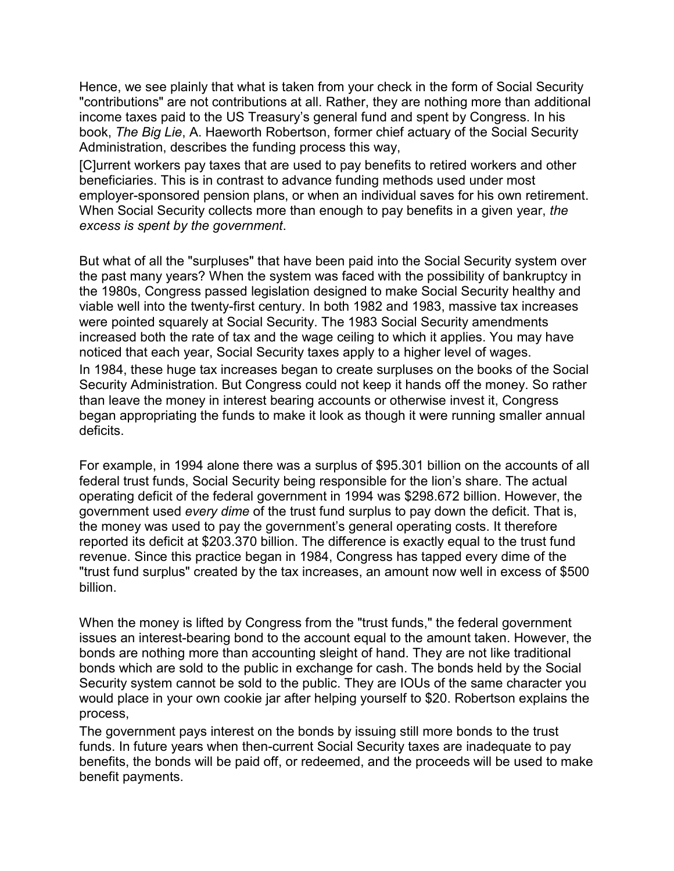Hence, we see plainly that what is taken from your check in the form of Social Security "contributions" are not contributions at all. Rather, they are nothing more than additional income taxes paid to the US Treasury's general fund and spent by Congress. In his book, *The Big Lie*, A. Haeworth Robertson, former chief actuary of the Social Security Administration, describes the funding process this way,

[C]urrent workers pay taxes that are used to pay benefits to retired workers and other beneficiaries. This is in contrast to advance funding methods used under most employer-sponsored pension plans, or when an individual saves for his own retirement. When Social Security collects more than enough to pay benefits in a given year, *the excess is spent by the government*.

But what of all the "surpluses" that have been paid into the Social Security system over the past many years? When the system was faced with the possibility of bankruptcy in the 1980s, Congress passed legislation designed to make Social Security healthy and viable well into the twenty-first century. In both 1982 and 1983, massive tax increases were pointed squarely at Social Security. The 1983 Social Security amendments increased both the rate of tax and the wage ceiling to which it applies. You may have noticed that each year, Social Security taxes apply to a higher level of wages.

In 1984, these huge tax increases began to create surpluses on the books of the Social Security Administration. But Congress could not keep it hands off the money. So rather than leave the money in interest bearing accounts or otherwise invest it, Congress began appropriating the funds to make it look as though it were running smaller annual deficits.

For example, in 1994 alone there was a surplus of \$95.301 billion on the accounts of all federal trust funds, Social Security being responsible for the lion's share. The actual operating deficit of the federal government in 1994 was \$298.672 billion. However, the government used *every dime* of the trust fund surplus to pay down the deficit. That is, the money was used to pay the government's general operating costs. It therefore reported its deficit at \$203.370 billion. The difference is exactly equal to the trust fund revenue. Since this practice began in 1984, Congress has tapped every dime of the "trust fund surplus" created by the tax increases, an amount now well in excess of \$500 billion.

When the money is lifted by Congress from the "trust funds," the federal government issues an interest-bearing bond to the account equal to the amount taken. However, the bonds are nothing more than accounting sleight of hand. They are not like traditional bonds which are sold to the public in exchange for cash. The bonds held by the Social Security system cannot be sold to the public. They are IOUs of the same character you would place in your own cookie jar after helping yourself to \$20. Robertson explains the process,

The government pays interest on the bonds by issuing still more bonds to the trust funds. In future years when then-current Social Security taxes are inadequate to pay benefits, the bonds will be paid off, or redeemed, and the proceeds will be used to make benefit payments.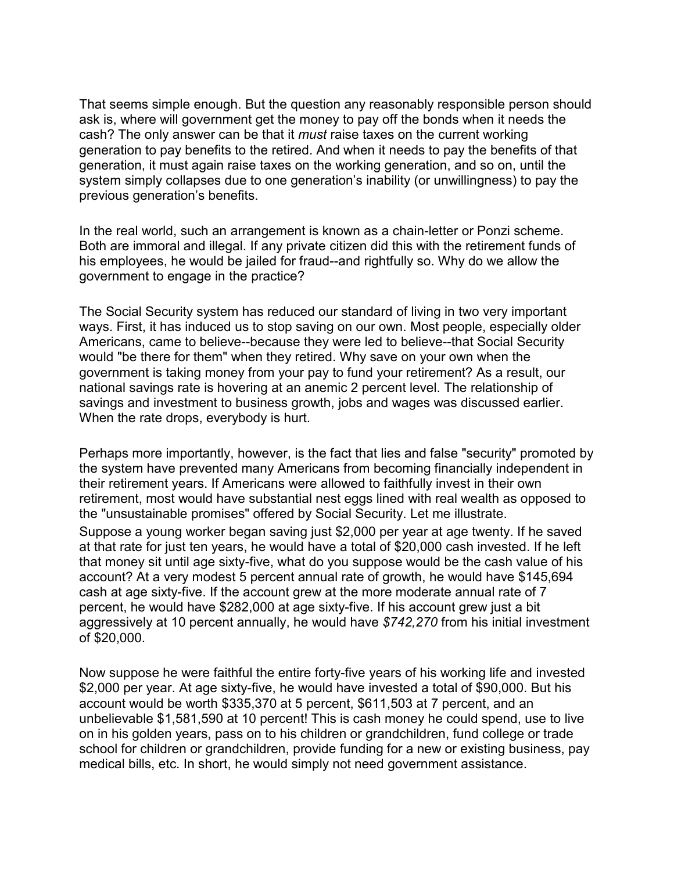That seems simple enough. But the question any reasonably responsible person should ask is, where will government get the money to pay off the bonds when it needs the cash? The only answer can be that it *must* raise taxes on the current working generation to pay benefits to the retired. And when it needs to pay the benefits of that generation, it must again raise taxes on the working generation, and so on, until the system simply collapses due to one generation's inability (or unwillingness) to pay the previous generation's benefits.

In the real world, such an arrangement is known as a chain-letter or Ponzi scheme. Both are immoral and illegal. If any private citizen did this with the retirement funds of his employees, he would be jailed for fraud--and rightfully so. Why do we allow the government to engage in the practice?

The Social Security system has reduced our standard of living in two very important ways. First, it has induced us to stop saving on our own. Most people, especially older Americans, came to believe--because they were led to believe--that Social Security would "be there for them" when they retired. Why save on your own when the government is taking money from your pay to fund your retirement? As a result, our national savings rate is hovering at an anemic 2 percent level. The relationship of savings and investment to business growth, jobs and wages was discussed earlier. When the rate drops, everybody is hurt.

Perhaps more importantly, however, is the fact that lies and false "security" promoted by the system have prevented many Americans from becoming financially independent in their retirement years. If Americans were allowed to faithfully invest in their own retirement, most would have substantial nest eggs lined with real wealth as opposed to the "unsustainable promises" offered by Social Security. Let me illustrate.

Suppose a young worker began saving just \$2,000 per year at age twenty. If he saved at that rate for just ten years, he would have a total of \$20,000 cash invested. If he left that money sit until age sixty-five, what do you suppose would be the cash value of his account? At a very modest 5 percent annual rate of growth, he would have \$145,694 cash at age sixty-five. If the account grew at the more moderate annual rate of 7 percent, he would have \$282,000 at age sixty-five. If his account grew just a bit aggressively at 10 percent annually, he would have *\$742,270* from his initial investment of \$20,000.

Now suppose he were faithful the entire forty-five years of his working life and invested \$2,000 per year. At age sixty-five, he would have invested a total of \$90,000. But his account would be worth \$335,370 at 5 percent, \$611,503 at 7 percent, and an unbelievable \$1,581,590 at 10 percent! This is cash money he could spend, use to live on in his golden years, pass on to his children or grandchildren, fund college or trade school for children or grandchildren, provide funding for a new or existing business, pay medical bills, etc. In short, he would simply not need government assistance.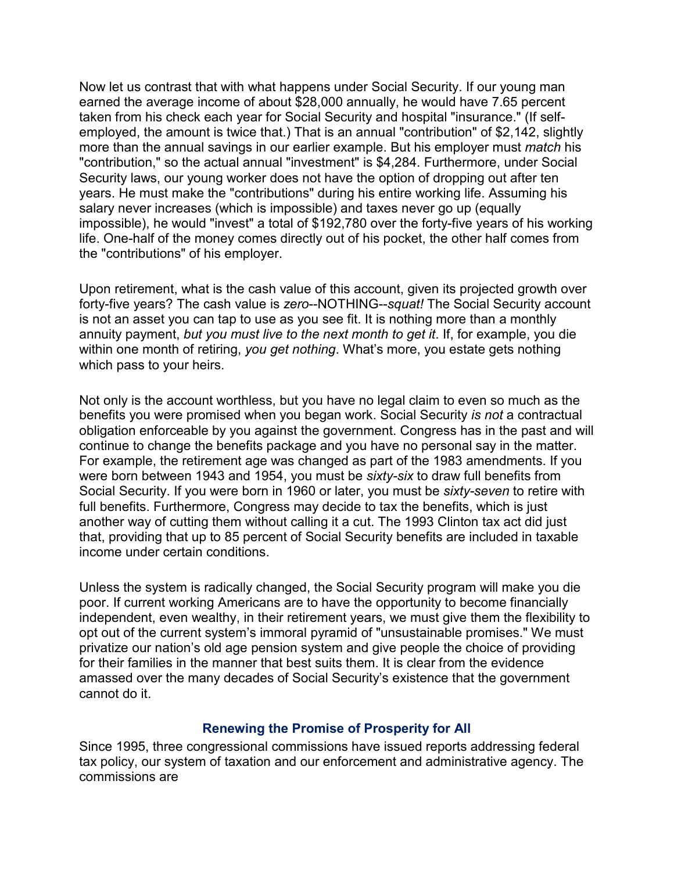Now let us contrast that with what happens under Social Security. If our young man earned the average income of about \$28,000 annually, he would have 7.65 percent taken from his check each year for Social Security and hospital "insurance." (If selfemployed, the amount is twice that.) That is an annual "contribution" of \$2,142, slightly more than the annual savings in our earlier example. But his employer must *match* his "contribution," so the actual annual "investment" is \$4,284. Furthermore, under Social Security laws, our young worker does not have the option of dropping out after ten years. He must make the "contributions" during his entire working life. Assuming his salary never increases (which is impossible) and taxes never go up (equally impossible), he would "invest" a total of \$192,780 over the forty-five years of his working life. One-half of the money comes directly out of his pocket, the other half comes from the "contributions" of his employer.

Upon retirement, what is the cash value of this account, given its projected growth over forty-five years? The cash value is *zero*--NOTHING--*squat!* The Social Security account is not an asset you can tap to use as you see fit. It is nothing more than a monthly annuity payment, *but you must live to the next month to get it*. If, for example, you die within one month of retiring, *you get nothing*. What's more, you estate gets nothing which pass to your heirs.

Not only is the account worthless, but you have no legal claim to even so much as the benefits you were promised when you began work. Social Security *is not* a contractual obligation enforceable by you against the government. Congress has in the past and will continue to change the benefits package and you have no personal say in the matter. For example, the retirement age was changed as part of the 1983 amendments. If you were born between 1943 and 1954, you must be *sixty-six* to draw full benefits from Social Security. If you were born in 1960 or later, you must be *sixty-seven* to retire with full benefits. Furthermore, Congress may decide to tax the benefits, which is just another way of cutting them without calling it a cut. The 1993 Clinton tax act did just that, providing that up to 85 percent of Social Security benefits are included in taxable income under certain conditions.

Unless the system is radically changed, the Social Security program will make you die poor. If current working Americans are to have the opportunity to become financially independent, even wealthy, in their retirement years, we must give them the flexibility to opt out of the current system's immoral pyramid of "unsustainable promises." We must privatize our nation's old age pension system and give people the choice of providing for their families in the manner that best suits them. It is clear from the evidence amassed over the many decades of Social Security's existence that the government cannot do it.

#### **Renewing the Promise of Prosperity for All**

Since 1995, three congressional commissions have issued reports addressing federal tax policy, our system of taxation and our enforcement and administrative agency. The commissions are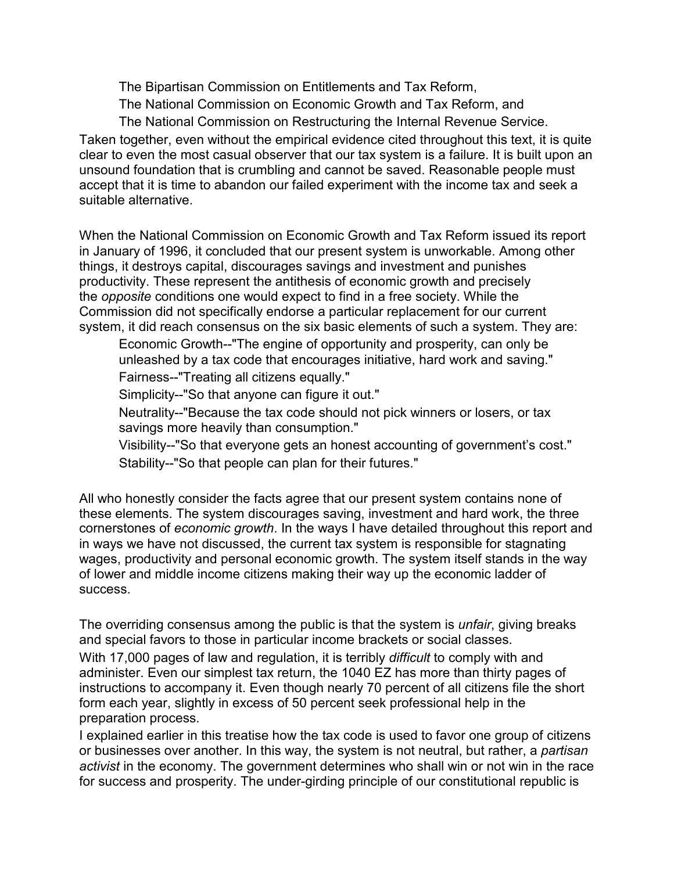The Bipartisan Commission on Entitlements and Tax Reform,

The National Commission on Economic Growth and Tax Reform, and

The National Commission on Restructuring the Internal Revenue Service.

Taken together, even without the empirical evidence cited throughout this text, it is quite clear to even the most casual observer that our tax system is a failure. It is built upon an unsound foundation that is crumbling and cannot be saved. Reasonable people must accept that it is time to abandon our failed experiment with the income tax and seek a suitable alternative.

When the National Commission on Economic Growth and Tax Reform issued its report in January of 1996, it concluded that our present system is unworkable. Among other things, it destroys capital, discourages savings and investment and punishes productivity. These represent the antithesis of economic growth and precisely the *opposite* conditions one would expect to find in a free society. While the Commission did not specifically endorse a particular replacement for our current system, it did reach consensus on the six basic elements of such a system. They are:

Economic Growth--"The engine of opportunity and prosperity, can only be unleashed by a tax code that encourages initiative, hard work and saving."

Fairness--"Treating all citizens equally."

Simplicity--"So that anyone can figure it out."

Neutrality--"Because the tax code should not pick winners or losers, or tax savings more heavily than consumption."

Visibility--"So that everyone gets an honest accounting of government's cost."

Stability--"So that people can plan for their futures."

All who honestly consider the facts agree that our present system contains none of these elements. The system discourages saving, investment and hard work, the three cornerstones of *economic growth*. In the ways I have detailed throughout this report and in ways we have not discussed, the current tax system is responsible for stagnating wages, productivity and personal economic growth. The system itself stands in the way of lower and middle income citizens making their way up the economic ladder of success.

The overriding consensus among the public is that the system is *unfair*, giving breaks and special favors to those in particular income brackets or social classes.

With 17,000 pages of law and regulation, it is terribly *difficult* to comply with and administer. Even our simplest tax return, the 1040 EZ has more than thirty pages of instructions to accompany it. Even though nearly 70 percent of all citizens file the short form each year, slightly in excess of 50 percent seek professional help in the preparation process.

I explained earlier in this treatise how the tax code is used to favor one group of citizens or businesses over another. In this way, the system is not neutral, but rather, a *partisan activist* in the economy. The government determines who shall win or not win in the race for success and prosperity. The under-girding principle of our constitutional republic is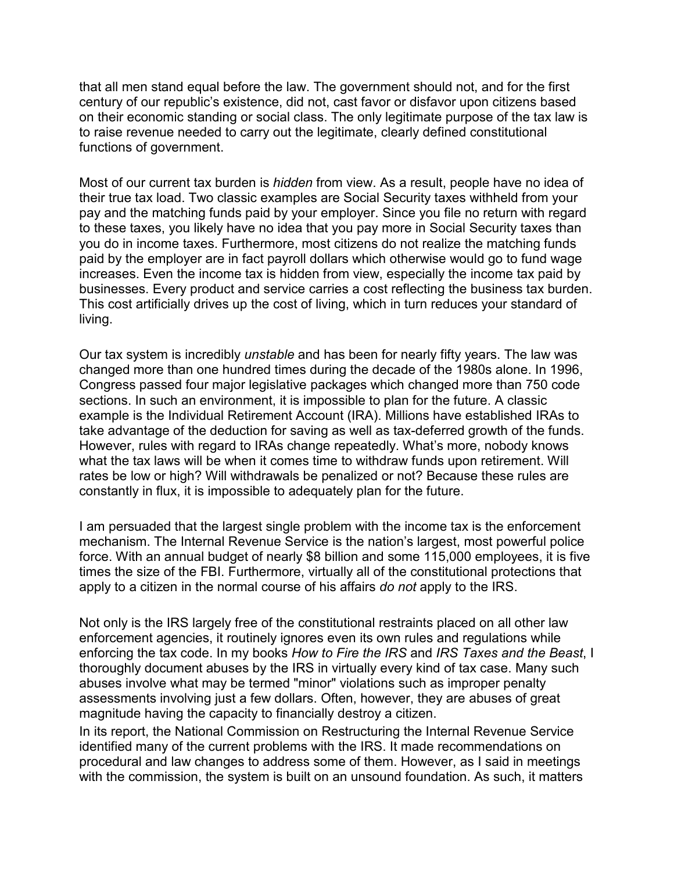that all men stand equal before the law. The government should not, and for the first century of our republic's existence, did not, cast favor or disfavor upon citizens based on their economic standing or social class. The only legitimate purpose of the tax law is to raise revenue needed to carry out the legitimate, clearly defined constitutional functions of government.

Most of our current tax burden is *hidden* from view. As a result, people have no idea of their true tax load. Two classic examples are Social Security taxes withheld from your pay and the matching funds paid by your employer. Since you file no return with regard to these taxes, you likely have no idea that you pay more in Social Security taxes than you do in income taxes. Furthermore, most citizens do not realize the matching funds paid by the employer are in fact payroll dollars which otherwise would go to fund wage increases. Even the income tax is hidden from view, especially the income tax paid by businesses. Every product and service carries a cost reflecting the business tax burden. This cost artificially drives up the cost of living, which in turn reduces your standard of living.

Our tax system is incredibly *unstable* and has been for nearly fifty years. The law was changed more than one hundred times during the decade of the 1980s alone. In 1996, Congress passed four major legislative packages which changed more than 750 code sections. In such an environment, it is impossible to plan for the future. A classic example is the Individual Retirement Account (IRA). Millions have established IRAs to take advantage of the deduction for saving as well as tax-deferred growth of the funds. However, rules with regard to IRAs change repeatedly. What's more, nobody knows what the tax laws will be when it comes time to withdraw funds upon retirement. Will rates be low or high? Will withdrawals be penalized or not? Because these rules are constantly in flux, it is impossible to adequately plan for the future.

I am persuaded that the largest single problem with the income tax is the enforcement mechanism. The Internal Revenue Service is the nation's largest, most powerful police force. With an annual budget of nearly \$8 billion and some 115,000 employees, it is five times the size of the FBI. Furthermore, virtually all of the constitutional protections that apply to a citizen in the normal course of his affairs *do not* apply to the IRS.

Not only is the IRS largely free of the constitutional restraints placed on all other law enforcement agencies, it routinely ignores even its own rules and regulations while enforcing the tax code. In my books *How to Fire the IRS* and *IRS Taxes and the Beast*, I thoroughly document abuses by the IRS in virtually every kind of tax case. Many such abuses involve what may be termed "minor" violations such as improper penalty assessments involving just a few dollars. Often, however, they are abuses of great magnitude having the capacity to financially destroy a citizen.

In its report, the National Commission on Restructuring the Internal Revenue Service identified many of the current problems with the IRS. It made recommendations on procedural and law changes to address some of them. However, as I said in meetings with the commission, the system is built on an unsound foundation. As such, it matters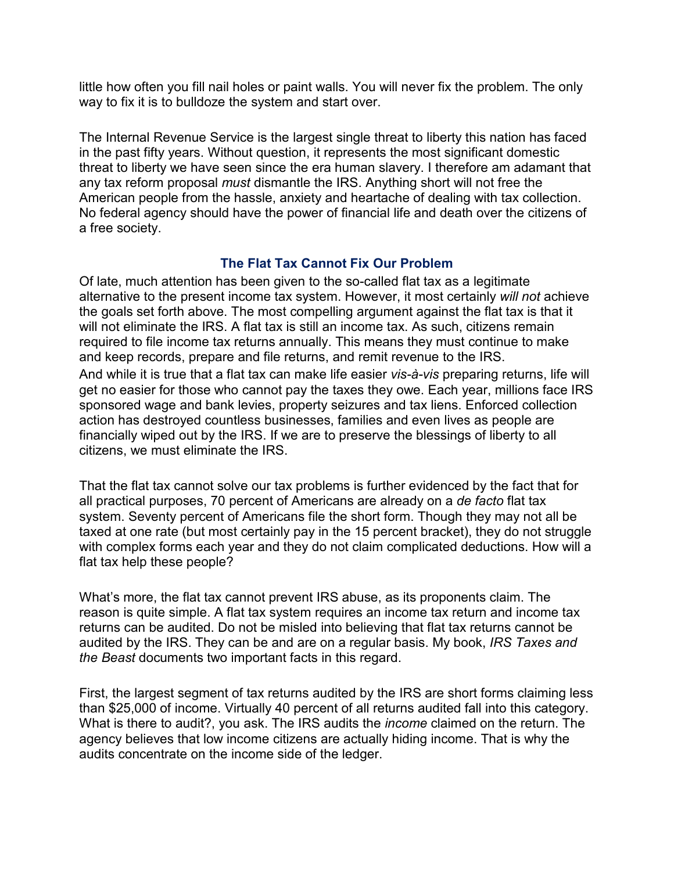little how often you fill nail holes or paint walls. You will never fix the problem. The only way to fix it is to bulldoze the system and start over.

The Internal Revenue Service is the largest single threat to liberty this nation has faced in the past fifty years. Without question, it represents the most significant domestic threat to liberty we have seen since the era human slavery. I therefore am adamant that any tax reform proposal *must* dismantle the IRS. Anything short will not free the American people from the hassle, anxiety and heartache of dealing with tax collection. No federal agency should have the power of financial life and death over the citizens of a free society.

#### **The Flat Tax Cannot Fix Our Problem**

Of late, much attention has been given to the so-called flat tax as a legitimate alternative to the present income tax system. However, it most certainly *will not* achieve the goals set forth above. The most compelling argument against the flat tax is that it will not eliminate the IRS. A flat tax is still an income tax. As such, citizens remain required to file income tax returns annually. This means they must continue to make and keep records, prepare and file returns, and remit revenue to the IRS.

And while it is true that a flat tax can make life easier *vis-à-vis* preparing returns, life will get no easier for those who cannot pay the taxes they owe. Each year, millions face IRS sponsored wage and bank levies, property seizures and tax liens. Enforced collection action has destroyed countless businesses, families and even lives as people are financially wiped out by the IRS. If we are to preserve the blessings of liberty to all citizens, we must eliminate the IRS.

That the flat tax cannot solve our tax problems is further evidenced by the fact that for all practical purposes, 70 percent of Americans are already on a *de facto* flat tax system. Seventy percent of Americans file the short form. Though they may not all be taxed at one rate (but most certainly pay in the 15 percent bracket), they do not struggle with complex forms each year and they do not claim complicated deductions. How will a flat tax help these people?

What's more, the flat tax cannot prevent IRS abuse, as its proponents claim. The reason is quite simple. A flat tax system requires an income tax return and income tax returns can be audited. Do not be misled into believing that flat tax returns cannot be audited by the IRS. They can be and are on a regular basis. My book, *IRS Taxes and the Beast* documents two important facts in this regard.

First, the largest segment of tax returns audited by the IRS are short forms claiming less than \$25,000 of income. Virtually 40 percent of all returns audited fall into this category. What is there to audit?, you ask. The IRS audits the *income* claimed on the return. The agency believes that low income citizens are actually hiding income. That is why the audits concentrate on the income side of the ledger.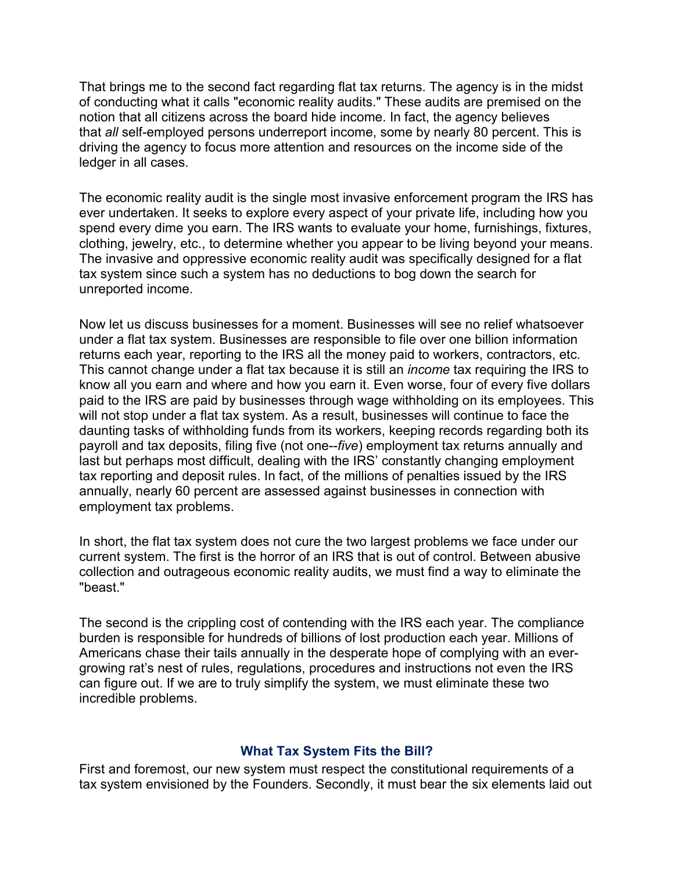That brings me to the second fact regarding flat tax returns. The agency is in the midst of conducting what it calls "economic reality audits." These audits are premised on the notion that all citizens across the board hide income. In fact, the agency believes that *all* self-employed persons underreport income, some by nearly 80 percent. This is driving the agency to focus more attention and resources on the income side of the ledger in all cases.

The economic reality audit is the single most invasive enforcement program the IRS has ever undertaken. It seeks to explore every aspect of your private life, including how you spend every dime you earn. The IRS wants to evaluate your home, furnishings, fixtures, clothing, jewelry, etc., to determine whether you appear to be living beyond your means. The invasive and oppressive economic reality audit was specifically designed for a flat tax system since such a system has no deductions to bog down the search for unreported income.

Now let us discuss businesses for a moment. Businesses will see no relief whatsoever under a flat tax system. Businesses are responsible to file over one billion information returns each year, reporting to the IRS all the money paid to workers, contractors, etc. This cannot change under a flat tax because it is still an *income* tax requiring the IRS to know all you earn and where and how you earn it. Even worse, four of every five dollars paid to the IRS are paid by businesses through wage withholding on its employees. This will not stop under a flat tax system. As a result, businesses will continue to face the daunting tasks of withholding funds from its workers, keeping records regarding both its payroll and tax deposits, filing five (not one--*five*) employment tax returns annually and last but perhaps most difficult, dealing with the IRS' constantly changing employment tax reporting and deposit rules. In fact, of the millions of penalties issued by the IRS annually, nearly 60 percent are assessed against businesses in connection with employment tax problems.

In short, the flat tax system does not cure the two largest problems we face under our current system. The first is the horror of an IRS that is out of control. Between abusive collection and outrageous economic reality audits, we must find a way to eliminate the "beast"

The second is the crippling cost of contending with the IRS each year. The compliance burden is responsible for hundreds of billions of lost production each year. Millions of Americans chase their tails annually in the desperate hope of complying with an evergrowing rat's nest of rules, regulations, procedures and instructions not even the IRS can figure out. If we are to truly simplify the system, we must eliminate these two incredible problems.

#### **What Tax System Fits the Bill?**

First and foremost, our new system must respect the constitutional requirements of a tax system envisioned by the Founders. Secondly, it must bear the six elements laid out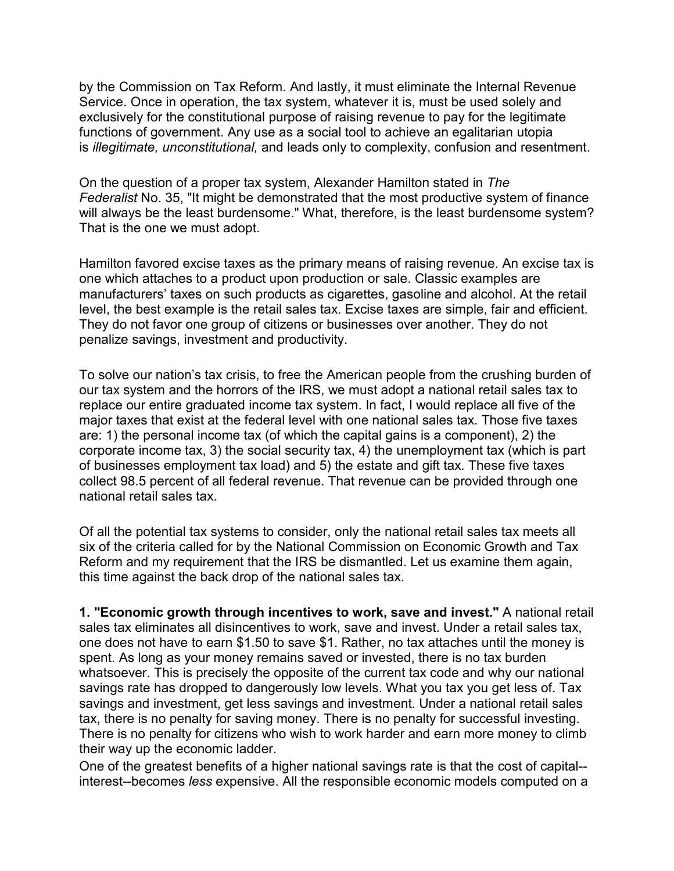by the Commission on Tax Reform. And lastly, it must eliminate the Internal Revenue Service. Once in operation, the tax system, whatever it is, must be used solely and exclusively for the constitutional purpose of raising revenue to pay for the legitimate functions of government. Any use as a social tool to achieve an egalitarian utopia is *illegitimate, unconstitutional,* and leads only to complexity, confusion and resentment.

On the question of a proper tax system, Alexander Hamilton stated in *The Federalist* No. 35, "It might be demonstrated that the most productive system of finance will always be the least burdensome." What, therefore, is the least burdensome system? That is the one we must adopt.

Hamilton favored excise taxes as the primary means of raising revenue. An excise tax is one which attaches to a product upon production or sale. Classic examples are manufacturers' taxes on such products as cigarettes, gasoline and alcohol. At the retail level, the best example is the retail sales tax. Excise taxes are simple, fair and efficient. They do not favor one group of citizens or businesses over another. They do not penalize savings, investment and productivity.

To solve our nation's tax crisis, to free the American people from the crushing burden of our tax system and the horrors of the IRS, we must adopt a national retail sales tax to replace our entire graduated income tax system. In fact, I would replace all five of the major taxes that exist at the federal level with one national sales tax. Those five taxes are: 1) the personal income tax (of which the capital gains is a component), 2) the corporate income tax, 3) the social security tax, 4) the unemployment tax (which is part of businesses employment tax load) and 5) the estate and gift tax. These five taxes collect 98.5 percent of all federal revenue. That revenue can be provided through one national retail sales tax.

Of all the potential tax systems to consider, only the national retail sales tax meets all six of the criteria called for by the National Commission on Economic Growth and Tax Reform and my requirement that the IRS be dismantled. Let us examine them again, this time against the back drop of the national sales tax.

**1. "Economic growth through incentives to work, save and invest."** A national retail sales tax eliminates all disincentives to work, save and invest. Under a retail sales tax, one does not have to earn \$1.50 to save \$1. Rather, no tax attaches until the money is spent. As long as your money remains saved or invested, there is no tax burden whatsoever. This is precisely the opposite of the current tax code and why our national savings rate has dropped to dangerously low levels. What you tax you get less of. Tax savings and investment, get less savings and investment. Under a national retail sales tax, there is no penalty for saving money. There is no penalty for successful investing. There is no penalty for citizens who wish to work harder and earn more money to climb their way up the economic ladder.

One of the greatest benefits of a higher national savings rate is that the cost of capital- interest--becomes *less* expensive. All the responsible economic models computed on a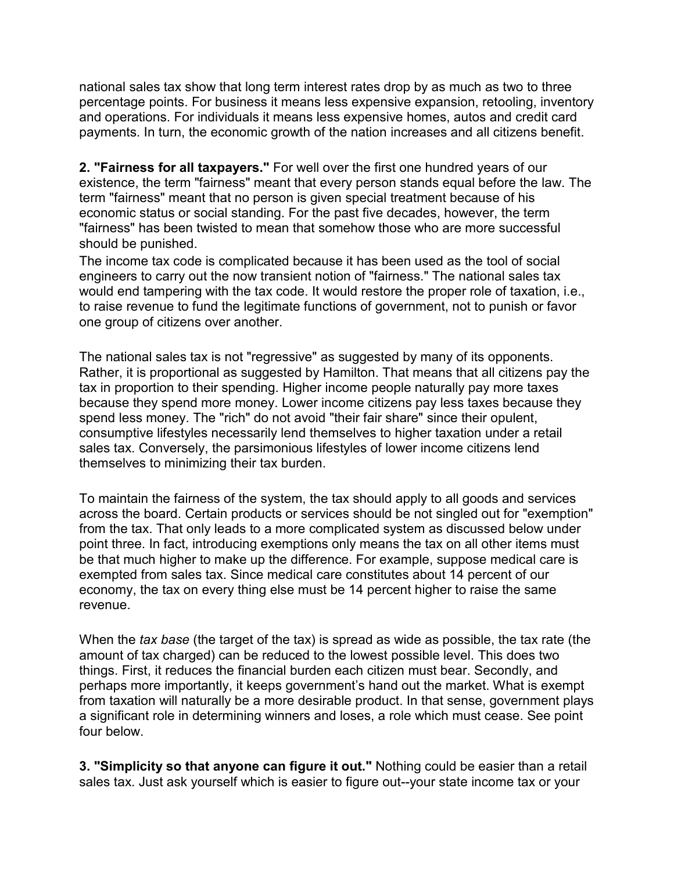national sales tax show that long term interest rates drop by as much as two to three percentage points. For business it means less expensive expansion, retooling, inventory and operations. For individuals it means less expensive homes, autos and credit card payments. In turn, the economic growth of the nation increases and all citizens benefit.

**2. "Fairness for all taxpayers."** For well over the first one hundred years of our existence, the term "fairness" meant that every person stands equal before the law. The term "fairness" meant that no person is given special treatment because of his economic status or social standing. For the past five decades, however, the term "fairness" has been twisted to mean that somehow those who are more successful should be punished.

The income tax code is complicated because it has been used as the tool of social engineers to carry out the now transient notion of "fairness." The national sales tax would end tampering with the tax code. It would restore the proper role of taxation, i.e., to raise revenue to fund the legitimate functions of government, not to punish or favor one group of citizens over another.

The national sales tax is not "regressive" as suggested by many of its opponents. Rather, it is proportional as suggested by Hamilton. That means that all citizens pay the tax in proportion to their spending. Higher income people naturally pay more taxes because they spend more money. Lower income citizens pay less taxes because they spend less money. The "rich" do not avoid "their fair share" since their opulent, consumptive lifestyles necessarily lend themselves to higher taxation under a retail sales tax. Conversely, the parsimonious lifestyles of lower income citizens lend themselves to minimizing their tax burden.

To maintain the fairness of the system, the tax should apply to all goods and services across the board. Certain products or services should be not singled out for "exemption" from the tax. That only leads to a more complicated system as discussed below under point three. In fact, introducing exemptions only means the tax on all other items must be that much higher to make up the difference. For example, suppose medical care is exempted from sales tax. Since medical care constitutes about 14 percent of our economy, the tax on every thing else must be 14 percent higher to raise the same revenue.

When the *tax base* (the target of the tax) is spread as wide as possible, the tax rate (the amount of tax charged) can be reduced to the lowest possible level. This does two things. First, it reduces the financial burden each citizen must bear. Secondly, and perhaps more importantly, it keeps government's hand out the market. What is exempt from taxation will naturally be a more desirable product. In that sense, government plays a significant role in determining winners and loses, a role which must cease. See point four below.

**3. "Simplicity so that anyone can figure it out."** Nothing could be easier than a retail sales tax. Just ask yourself which is easier to figure out--your state income tax or your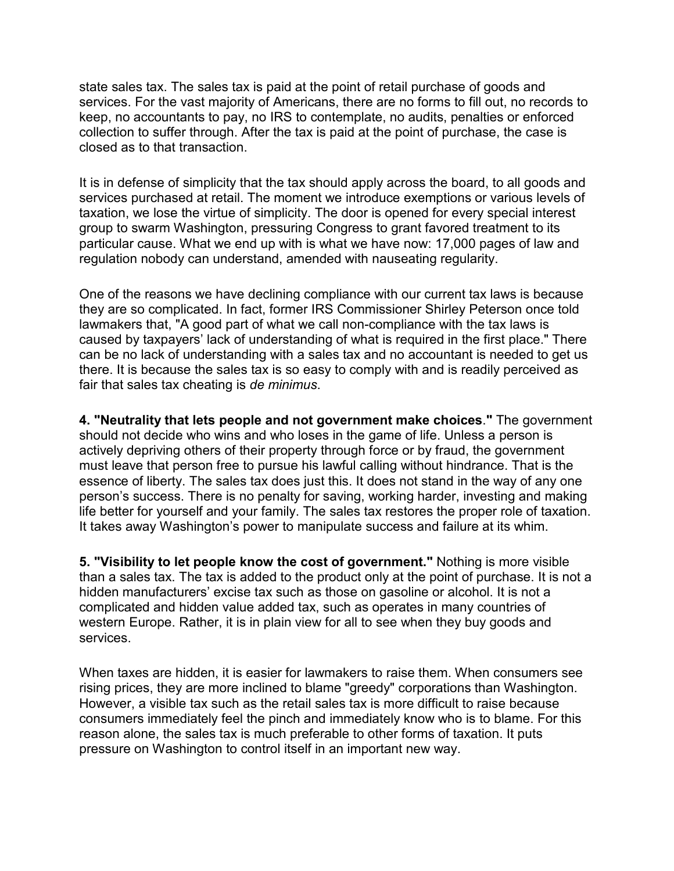state sales tax. The sales tax is paid at the point of retail purchase of goods and services. For the vast majority of Americans, there are no forms to fill out, no records to keep, no accountants to pay, no IRS to contemplate, no audits, penalties or enforced collection to suffer through. After the tax is paid at the point of purchase, the case is closed as to that transaction.

It is in defense of simplicity that the tax should apply across the board, to all goods and services purchased at retail. The moment we introduce exemptions or various levels of taxation, we lose the virtue of simplicity. The door is opened for every special interest group to swarm Washington, pressuring Congress to grant favored treatment to its particular cause. What we end up with is what we have now: 17,000 pages of law and regulation nobody can understand, amended with nauseating regularity.

One of the reasons we have declining compliance with our current tax laws is because they are so complicated. In fact, former IRS Commissioner Shirley Peterson once told lawmakers that, "A good part of what we call non-compliance with the tax laws is caused by taxpayers' lack of understanding of what is required in the first place." There can be no lack of understanding with a sales tax and no accountant is needed to get us there. It is because the sales tax is so easy to comply with and is readily perceived as fair that sales tax cheating is *de minimus*.

**4. "Neutrality that lets people and not government make choices**.**"** The government should not decide who wins and who loses in the game of life. Unless a person is actively depriving others of their property through force or by fraud, the government must leave that person free to pursue his lawful calling without hindrance. That is the essence of liberty. The sales tax does just this. It does not stand in the way of any one person's success. There is no penalty for saving, working harder, investing and making life better for yourself and your family. The sales tax restores the proper role of taxation. It takes away Washington's power to manipulate success and failure at its whim.

**5. "Visibility to let people know the cost of government."** Nothing is more visible than a sales tax. The tax is added to the product only at the point of purchase. It is not a hidden manufacturers' excise tax such as those on gasoline or alcohol. It is not a complicated and hidden value added tax, such as operates in many countries of western Europe. Rather, it is in plain view for all to see when they buy goods and services.

When taxes are hidden, it is easier for lawmakers to raise them. When consumers see rising prices, they are more inclined to blame "greedy" corporations than Washington. However, a visible tax such as the retail sales tax is more difficult to raise because consumers immediately feel the pinch and immediately know who is to blame. For this reason alone, the sales tax is much preferable to other forms of taxation. It puts pressure on Washington to control itself in an important new way.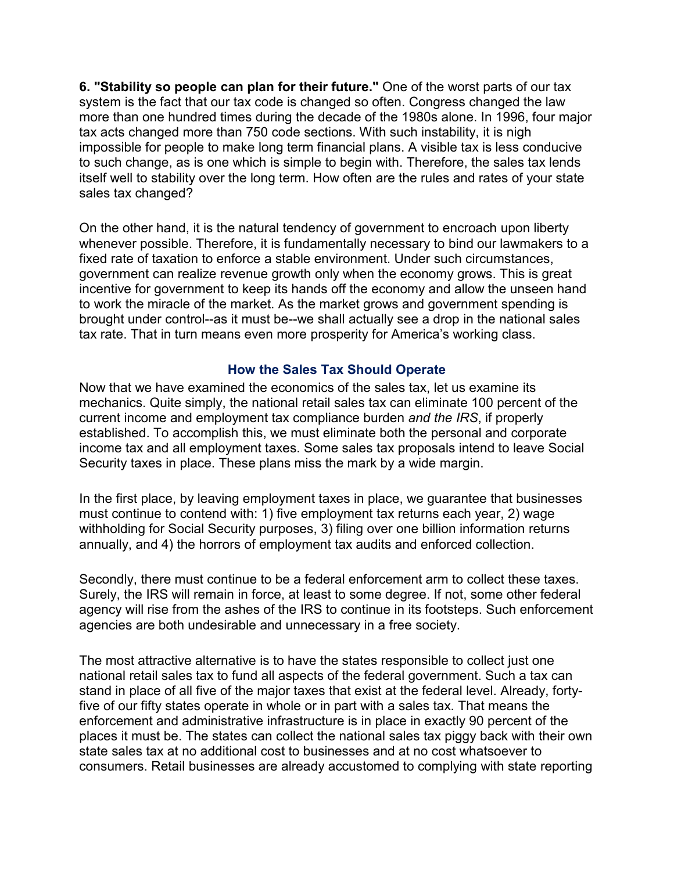**6. "Stability so people can plan for their future."** One of the worst parts of our tax system is the fact that our tax code is changed so often. Congress changed the law more than one hundred times during the decade of the 1980s alone. In 1996, four major tax acts changed more than 750 code sections. With such instability, it is nigh impossible for people to make long term financial plans. A visible tax is less conducive to such change, as is one which is simple to begin with. Therefore, the sales tax lends itself well to stability over the long term. How often are the rules and rates of your state sales tax changed?

On the other hand, it is the natural tendency of government to encroach upon liberty whenever possible. Therefore, it is fundamentally necessary to bind our lawmakers to a fixed rate of taxation to enforce a stable environment. Under such circumstances, government can realize revenue growth only when the economy grows. This is great incentive for government to keep its hands off the economy and allow the unseen hand to work the miracle of the market. As the market grows and government spending is brought under control--as it must be--we shall actually see a drop in the national sales tax rate. That in turn means even more prosperity for America's working class.

#### **How the Sales Tax Should Operate**

Now that we have examined the economics of the sales tax, let us examine its mechanics. Quite simply, the national retail sales tax can eliminate 100 percent of the current income and employment tax compliance burden *and the IRS*, if properly established. To accomplish this, we must eliminate both the personal and corporate income tax and all employment taxes. Some sales tax proposals intend to leave Social Security taxes in place. These plans miss the mark by a wide margin.

In the first place, by leaving employment taxes in place, we guarantee that businesses must continue to contend with: 1) five employment tax returns each year, 2) wage withholding for Social Security purposes, 3) filing over one billion information returns annually, and 4) the horrors of employment tax audits and enforced collection.

Secondly, there must continue to be a federal enforcement arm to collect these taxes. Surely, the IRS will remain in force, at least to some degree. If not, some other federal agency will rise from the ashes of the IRS to continue in its footsteps. Such enforcement agencies are both undesirable and unnecessary in a free society.

The most attractive alternative is to have the states responsible to collect just one national retail sales tax to fund all aspects of the federal government. Such a tax can stand in place of all five of the major taxes that exist at the federal level. Already, fortyfive of our fifty states operate in whole or in part with a sales tax. That means the enforcement and administrative infrastructure is in place in exactly 90 percent of the places it must be. The states can collect the national sales tax piggy back with their own state sales tax at no additional cost to businesses and at no cost whatsoever to consumers. Retail businesses are already accustomed to complying with state reporting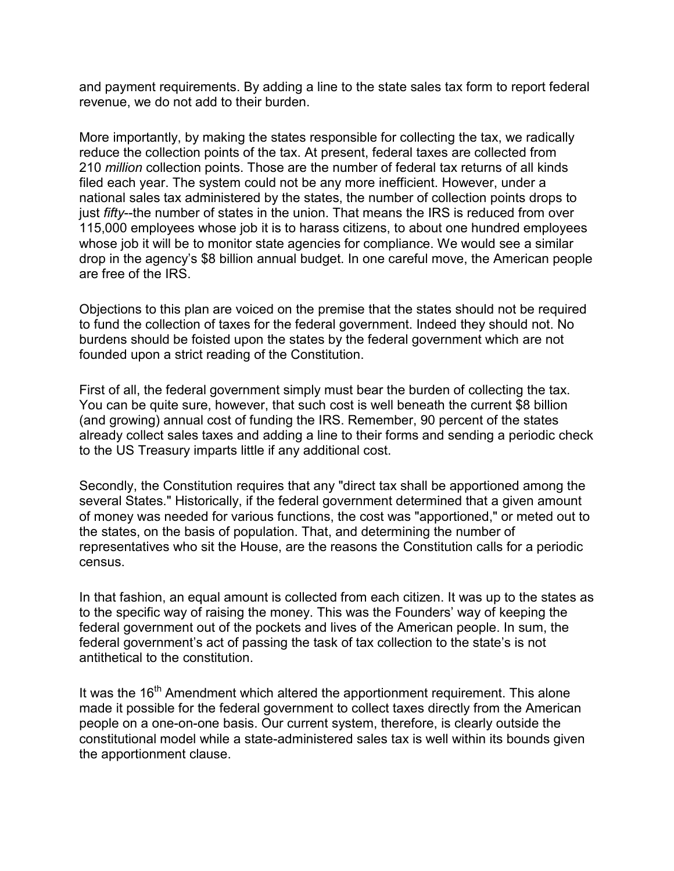and payment requirements. By adding a line to the state sales tax form to report federal revenue, we do not add to their burden.

More importantly, by making the states responsible for collecting the tax, we radically reduce the collection points of the tax. At present, federal taxes are collected from 210 *million* collection points. Those are the number of federal tax returns of all kinds filed each year. The system could not be any more inefficient. However, under a national sales tax administered by the states, the number of collection points drops to just *fifty*--the number of states in the union. That means the IRS is reduced from over 115,000 employees whose job it is to harass citizens, to about one hundred employees whose job it will be to monitor state agencies for compliance. We would see a similar drop in the agency's \$8 billion annual budget. In one careful move, the American people are free of the IRS.

Objections to this plan are voiced on the premise that the states should not be required to fund the collection of taxes for the federal government. Indeed they should not. No burdens should be foisted upon the states by the federal government which are not founded upon a strict reading of the Constitution.

First of all, the federal government simply must bear the burden of collecting the tax. You can be quite sure, however, that such cost is well beneath the current \$8 billion (and growing) annual cost of funding the IRS. Remember, 90 percent of the states already collect sales taxes and adding a line to their forms and sending a periodic check to the US Treasury imparts little if any additional cost.

Secondly, the Constitution requires that any "direct tax shall be apportioned among the several States." Historically, if the federal government determined that a given amount of money was needed for various functions, the cost was "apportioned," or meted out to the states, on the basis of population. That, and determining the number of representatives who sit the House, are the reasons the Constitution calls for a periodic census.

In that fashion, an equal amount is collected from each citizen. It was up to the states as to the specific way of raising the money. This was the Founders' way of keeping the federal government out of the pockets and lives of the American people. In sum, the federal government's act of passing the task of tax collection to the state's is not antithetical to the constitution.

It was the 16<sup>th</sup> Amendment which altered the apportionment requirement. This alone made it possible for the federal government to collect taxes directly from the American people on a one-on-one basis. Our current system, therefore, is clearly outside the constitutional model while a state-administered sales tax is well within its bounds given the apportionment clause.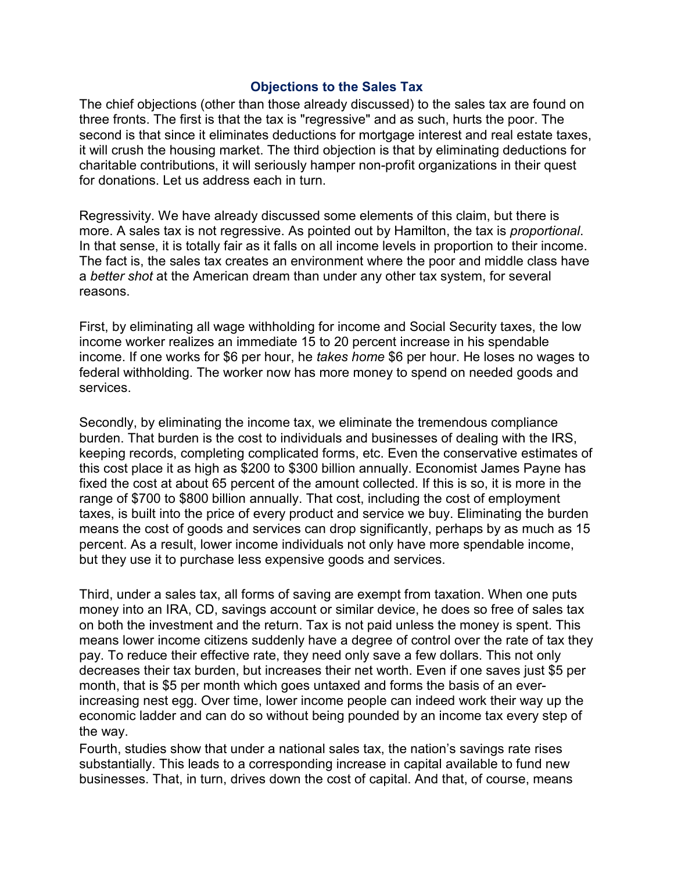#### **Objections to the Sales Tax**

The chief objections (other than those already discussed) to the sales tax are found on three fronts. The first is that the tax is "regressive" and as such, hurts the poor. The second is that since it eliminates deductions for mortgage interest and real estate taxes, it will crush the housing market. The third objection is that by eliminating deductions for charitable contributions, it will seriously hamper non-profit organizations in their quest for donations. Let us address each in turn.

Regressivity. We have already discussed some elements of this claim, but there is more. A sales tax is not regressive. As pointed out by Hamilton, the tax is *proportional*. In that sense, it is totally fair as it falls on all income levels in proportion to their income. The fact is, the sales tax creates an environment where the poor and middle class have a *better shot* at the American dream than under any other tax system, for several reasons.

First, by eliminating all wage withholding for income and Social Security taxes, the low income worker realizes an immediate 15 to 20 percent increase in his spendable income. If one works for \$6 per hour, he *takes home* \$6 per hour. He loses no wages to federal withholding. The worker now has more money to spend on needed goods and services.

Secondly, by eliminating the income tax, we eliminate the tremendous compliance burden. That burden is the cost to individuals and businesses of dealing with the IRS, keeping records, completing complicated forms, etc. Even the conservative estimates of this cost place it as high as \$200 to \$300 billion annually. Economist James Payne has fixed the cost at about 65 percent of the amount collected. If this is so, it is more in the range of \$700 to \$800 billion annually. That cost, including the cost of employment taxes, is built into the price of every product and service we buy. Eliminating the burden means the cost of goods and services can drop significantly, perhaps by as much as 15 percent. As a result, lower income individuals not only have more spendable income, but they use it to purchase less expensive goods and services.

Third, under a sales tax, all forms of saving are exempt from taxation. When one puts money into an IRA, CD, savings account or similar device, he does so free of sales tax on both the investment and the return. Tax is not paid unless the money is spent. This means lower income citizens suddenly have a degree of control over the rate of tax they pay. To reduce their effective rate, they need only save a few dollars. This not only decreases their tax burden, but increases their net worth. Even if one saves just \$5 per month, that is \$5 per month which goes untaxed and forms the basis of an everincreasing nest egg. Over time, lower income people can indeed work their way up the economic ladder and can do so without being pounded by an income tax every step of the way.

Fourth, studies show that under a national sales tax, the nation's savings rate rises substantially. This leads to a corresponding increase in capital available to fund new businesses. That, in turn, drives down the cost of capital. And that, of course, means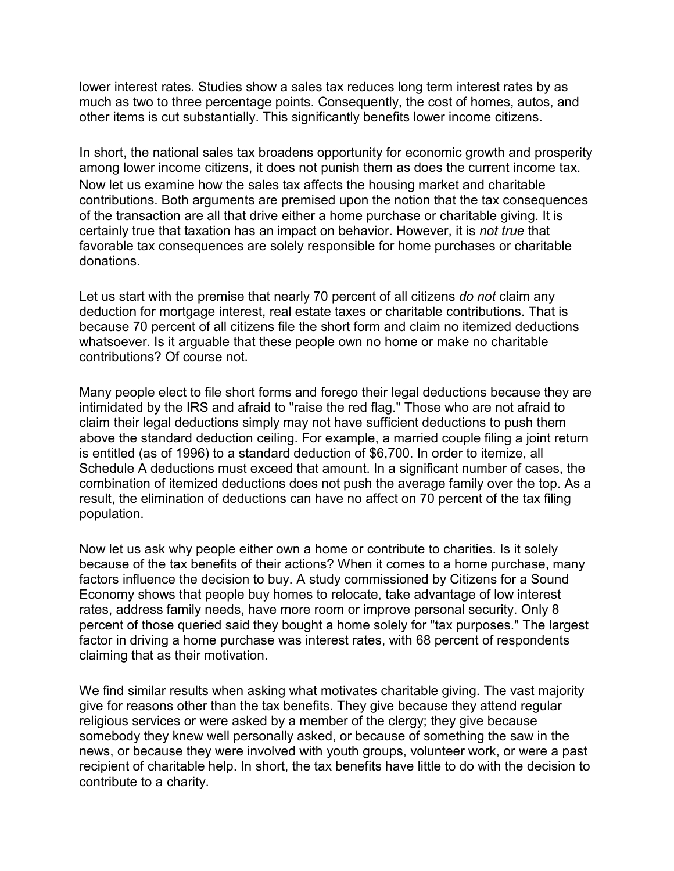lower interest rates. Studies show a sales tax reduces long term interest rates by as much as two to three percentage points. Consequently, the cost of homes, autos, and other items is cut substantially. This significantly benefits lower income citizens.

In short, the national sales tax broadens opportunity for economic growth and prosperity among lower income citizens, it does not punish them as does the current income tax. Now let us examine how the sales tax affects the housing market and charitable contributions. Both arguments are premised upon the notion that the tax consequences of the transaction are all that drive either a home purchase or charitable giving. It is certainly true that taxation has an impact on behavior. However, it is *not true* that favorable tax consequences are solely responsible for home purchases or charitable donations.

Let us start with the premise that nearly 70 percent of all citizens *do not* claim any deduction for mortgage interest, real estate taxes or charitable contributions. That is because 70 percent of all citizens file the short form and claim no itemized deductions whatsoever. Is it arguable that these people own no home or make no charitable contributions? Of course not.

Many people elect to file short forms and forego their legal deductions because they are intimidated by the IRS and afraid to "raise the red flag." Those who are not afraid to claim their legal deductions simply may not have sufficient deductions to push them above the standard deduction ceiling. For example, a married couple filing a joint return is entitled (as of 1996) to a standard deduction of \$6,700. In order to itemize, all Schedule A deductions must exceed that amount. In a significant number of cases, the combination of itemized deductions does not push the average family over the top. As a result, the elimination of deductions can have no affect on 70 percent of the tax filing population.

Now let us ask why people either own a home or contribute to charities. Is it solely because of the tax benefits of their actions? When it comes to a home purchase, many factors influence the decision to buy. A study commissioned by Citizens for a Sound Economy shows that people buy homes to relocate, take advantage of low interest rates, address family needs, have more room or improve personal security. Only 8 percent of those queried said they bought a home solely for "tax purposes." The largest factor in driving a home purchase was interest rates, with 68 percent of respondents claiming that as their motivation.

We find similar results when asking what motivates charitable giving. The vast majority give for reasons other than the tax benefits. They give because they attend regular religious services or were asked by a member of the clergy; they give because somebody they knew well personally asked, or because of something the saw in the news, or because they were involved with youth groups, volunteer work, or were a past recipient of charitable help. In short, the tax benefits have little to do with the decision to contribute to a charity.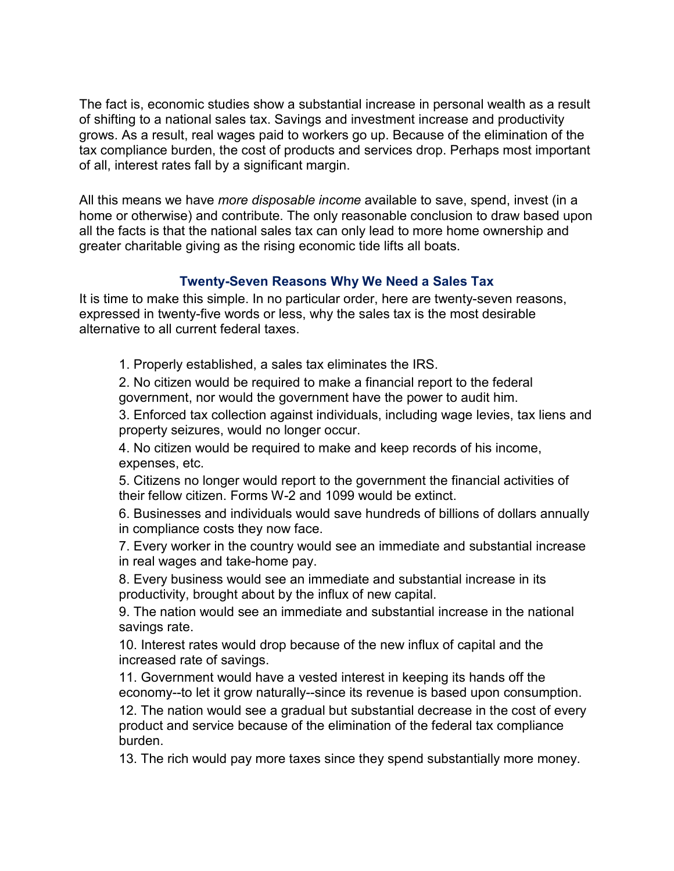The fact is, economic studies show a substantial increase in personal wealth as a result of shifting to a national sales tax. Savings and investment increase and productivity grows. As a result, real wages paid to workers go up. Because of the elimination of the tax compliance burden, the cost of products and services drop. Perhaps most important of all, interest rates fall by a significant margin.

All this means we have *more disposable income* available to save, spend, invest (in a home or otherwise) and contribute. The only reasonable conclusion to draw based upon all the facts is that the national sales tax can only lead to more home ownership and greater charitable giving as the rising economic tide lifts all boats.

#### **Twenty-Seven Reasons Why We Need a Sales Tax**

It is time to make this simple. In no particular order, here are twenty-seven reasons, expressed in twenty-five words or less, why the sales tax is the most desirable alternative to all current federal taxes.

1. Properly established, a sales tax eliminates the IRS.

2. No citizen would be required to make a financial report to the federal government, nor would the government have the power to audit him.

3. Enforced tax collection against individuals, including wage levies, tax liens and property seizures, would no longer occur.

4. No citizen would be required to make and keep records of his income, expenses, etc.

5. Citizens no longer would report to the government the financial activities of their fellow citizen. Forms W-2 and 1099 would be extinct.

6. Businesses and individuals would save hundreds of billions of dollars annually in compliance costs they now face.

7. Every worker in the country would see an immediate and substantial increase in real wages and take-home pay.

8. Every business would see an immediate and substantial increase in its productivity, brought about by the influx of new capital.

9. The nation would see an immediate and substantial increase in the national savings rate.

10. Interest rates would drop because of the new influx of capital and the increased rate of savings.

11. Government would have a vested interest in keeping its hands off the economy--to let it grow naturally--since its revenue is based upon consumption.

12. The nation would see a gradual but substantial decrease in the cost of every product and service because of the elimination of the federal tax compliance burden.

13. The rich would pay more taxes since they spend substantially more money.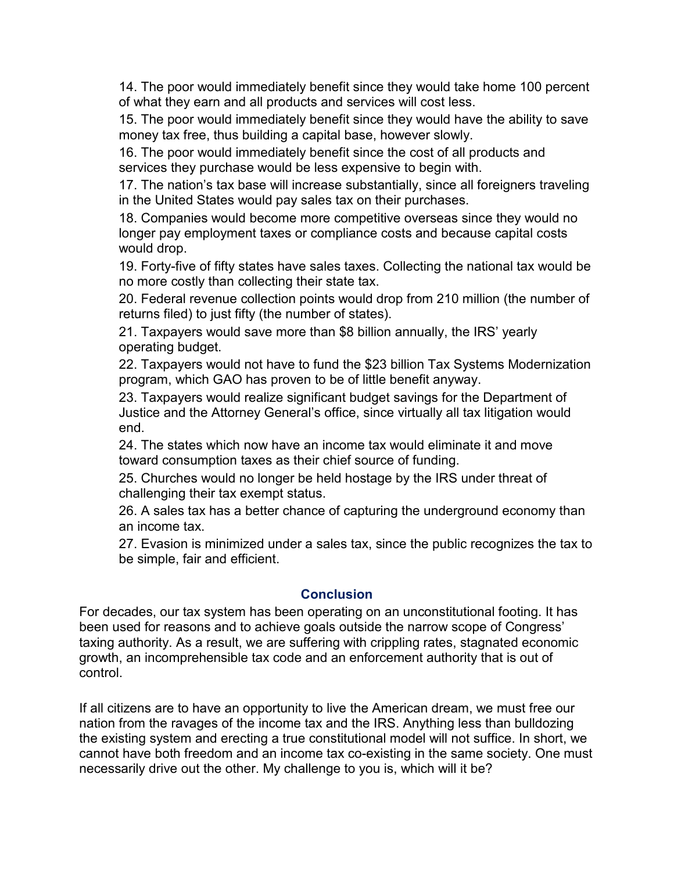14. The poor would immediately benefit since they would take home 100 percent of what they earn and all products and services will cost less.

15. The poor would immediately benefit since they would have the ability to save money tax free, thus building a capital base, however slowly.

16. The poor would immediately benefit since the cost of all products and services they purchase would be less expensive to begin with.

17. The nation's tax base will increase substantially, since all foreigners traveling in the United States would pay sales tax on their purchases.

18. Companies would become more competitive overseas since they would no longer pay employment taxes or compliance costs and because capital costs would drop.

19. Forty-five of fifty states have sales taxes. Collecting the national tax would be no more costly than collecting their state tax.

20. Federal revenue collection points would drop from 210 million (the number of returns filed) to just fifty (the number of states).

21. Taxpayers would save more than \$8 billion annually, the IRS' yearly operating budget.

22. Taxpayers would not have to fund the \$23 billion Tax Systems Modernization program, which GAO has proven to be of little benefit anyway.

23. Taxpayers would realize significant budget savings for the Department of Justice and the Attorney General's office, since virtually all tax litigation would end.

24. The states which now have an income tax would eliminate it and move toward consumption taxes as their chief source of funding.

25. Churches would no longer be held hostage by the IRS under threat of challenging their tax exempt status.

26. A sales tax has a better chance of capturing the underground economy than an income tax.

27. Evasion is minimized under a sales tax, since the public recognizes the tax to be simple, fair and efficient.

#### **Conclusion**

For decades, our tax system has been operating on an unconstitutional footing. It has been used for reasons and to achieve goals outside the narrow scope of Congress' taxing authority. As a result, we are suffering with crippling rates, stagnated economic growth, an incomprehensible tax code and an enforcement authority that is out of control.

If all citizens are to have an opportunity to live the American dream, we must free our nation from the ravages of the income tax and the IRS. Anything less than bulldozing the existing system and erecting a true constitutional model will not suffice. In short, we cannot have both freedom and an income tax co-existing in the same society. One must necessarily drive out the other. My challenge to you is, which will it be?